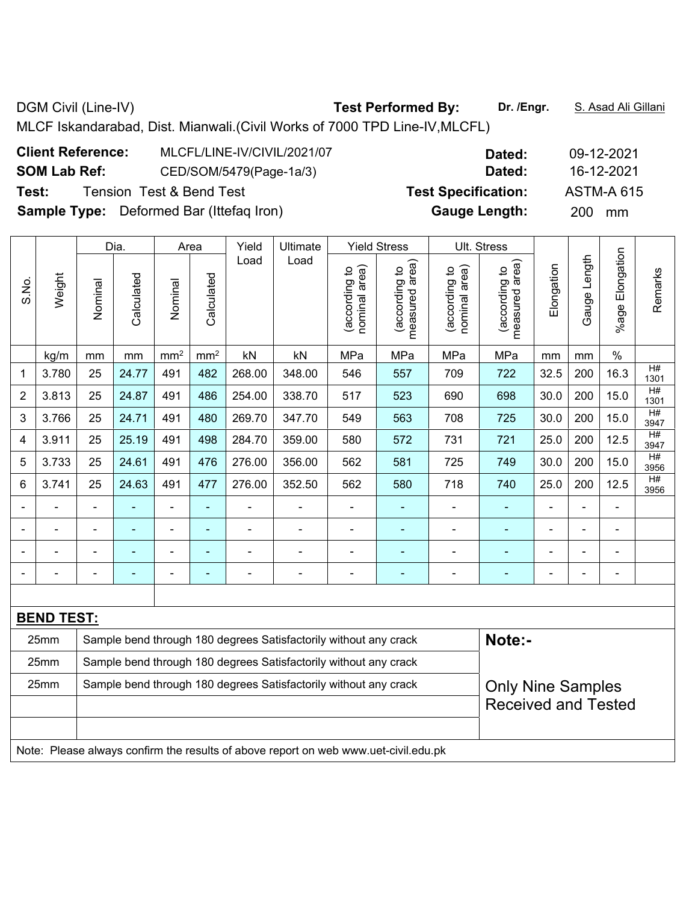**Client Reference:** MLCFL/LINE-IV/CIVIL/2021/07 **Dated:** 09-12-2021 **SOM Lab Ref:** CED/SOM/5479(Page-1a/3) **Dated:** 16-12-2021 **Test:** Tension Test & Bend Test **Test Specification:** ASTM-A 615 **Sample Type:** Deformed Bar (Ittefaq Iron) **Gauge Length:** 200 mm

|                |                                                                                     |                | Dia.       |                 | Area            | Yield          | Ultimate                                                         |                                | <b>Yield Stress</b>             |                                | Ult. Stress                     |                |                              |                      |            |
|----------------|-------------------------------------------------------------------------------------|----------------|------------|-----------------|-----------------|----------------|------------------------------------------------------------------|--------------------------------|---------------------------------|--------------------------------|---------------------------------|----------------|------------------------------|----------------------|------------|
| S.No.          | Weight                                                                              | Nominal        | Calculated | Nominal         | Calculated      | Load           | Load                                                             | nominal area)<br>(according to | measured area)<br>(according to | nominal area)<br>(according to | measured area)<br>(according to | Elongation     | Length<br>Gauge <sup>1</sup> | Elongation<br>%age I | Remarks    |
|                | kg/m                                                                                | mm             | mm         | mm <sup>2</sup> | mm <sup>2</sup> | kN             | kN                                                               | MPa                            | MPa                             | MPa                            | MPa                             | mm             | mm                           | $\%$                 |            |
| 1              | 3.780                                                                               | 25             | 24.77      | 491             | 482             | 268.00         | 348.00                                                           | 546                            | 557                             | 709                            | 722                             | 32.5           | 200                          | 16.3                 | H#<br>1301 |
| $\overline{2}$ | 3.813                                                                               | 25             | 24.87      | 491             | 486             | 254.00         | 338.70                                                           | 517                            | 523                             | 690                            | 698                             | 30.0           | 200                          | 15.0                 | H#<br>1301 |
| 3              | 3.766                                                                               | 25             | 24.71      | 491             | 480             | 269.70         | 347.70                                                           | 549                            | 563                             | 708                            | 725                             | 30.0           | 200                          | 15.0                 | H#<br>3947 |
| $\overline{4}$ | 3.911                                                                               | 25             | 25.19      | 491             | 498             | 284.70         | 359.00                                                           | 580                            | 572                             | 731                            | 721                             | 25.0           | 200                          | 12.5                 | H#<br>3947 |
| 5              | 3.733                                                                               | 25             | 24.61      | 491             | 476             | 276.00         | 356.00                                                           | 562                            | 581                             | 725                            | 749                             | 30.0           | 200                          | 15.0                 | H#<br>3956 |
| 6              | 3.741                                                                               | 25             | 24.63      | 491             | 477             | 276.00         | 352.50                                                           | 562                            | 580                             | 718                            | 740                             | 25.0           | 200                          | 12.5                 | H#<br>3956 |
|                |                                                                                     | $\blacksquare$ | ä,         | $\blacksquare$  | $\blacksquare$  | ۰              | ÷                                                                | $\overline{\phantom{a}}$       | $\blacksquare$                  | $\blacksquare$                 | $\blacksquare$                  | $\blacksquare$ | $\overline{a}$               | L,                   |            |
|                |                                                                                     | L,             | ÷,         | $\blacksquare$  | ÷,              | ÷,             | ä,                                                               | $\blacksquare$                 | $\blacksquare$                  | $\blacksquare$                 | ä,                              |                | L,                           | ä,                   |            |
|                |                                                                                     |                |            | $\blacksquare$  |                 | $\blacksquare$ | i.                                                               | L.                             | $\blacksquare$                  |                                | ۰                               |                |                              | $\blacksquare$       |            |
|                |                                                                                     |                |            |                 |                 | ÷              | Ē,                                                               | $\blacksquare$                 |                                 |                                |                                 |                |                              | Ē,                   |            |
|                |                                                                                     |                |            |                 |                 |                |                                                                  |                                |                                 |                                |                                 |                |                              |                      |            |
|                | <b>BEND TEST:</b>                                                                   |                |            |                 |                 |                |                                                                  |                                |                                 |                                |                                 |                |                              |                      |            |
|                | 25mm                                                                                |                |            |                 |                 |                | Sample bend through 180 degrees Satisfactorily without any crack |                                |                                 |                                | Note:-                          |                |                              |                      |            |
|                | 25mm                                                                                |                |            |                 |                 |                | Sample bend through 180 degrees Satisfactorily without any crack |                                |                                 |                                |                                 |                |                              |                      |            |
|                | 25mm                                                                                |                |            |                 |                 |                | Sample bend through 180 degrees Satisfactorily without any crack |                                |                                 |                                | <b>Only Nine Samples</b>        |                |                              |                      |            |
|                |                                                                                     |                |            |                 |                 |                |                                                                  |                                |                                 |                                | <b>Received and Tested</b>      |                |                              |                      |            |
|                |                                                                                     |                |            |                 |                 |                |                                                                  |                                |                                 |                                |                                 |                |                              |                      |            |
|                | Note: Please always confirm the results of above report on web www.uet-civil.edu.pk |                |            |                 |                 |                |                                                                  |                                |                                 |                                |                                 |                |                              |                      |            |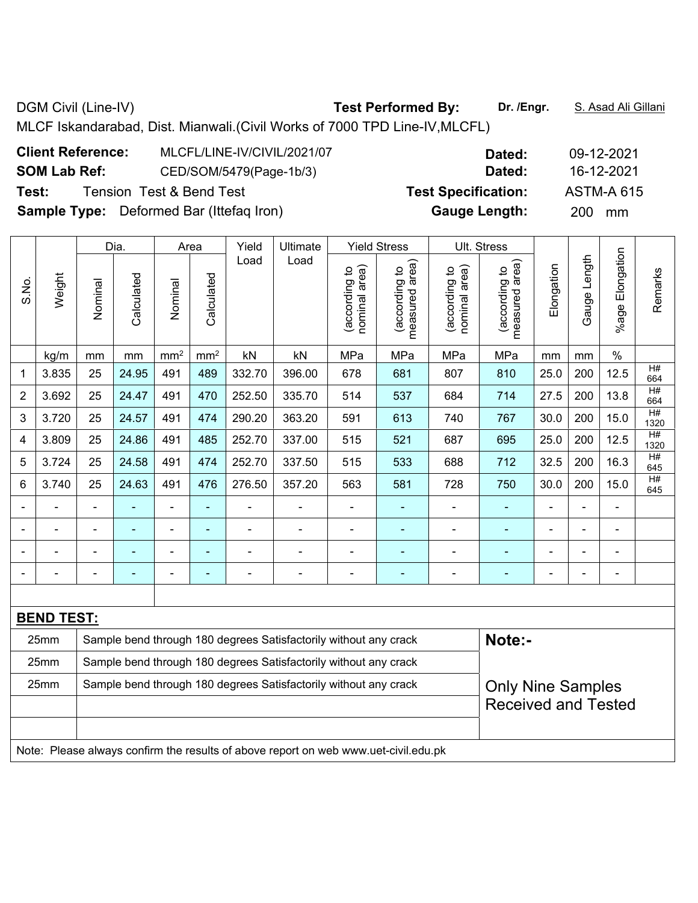**Client Reference:** MLCFL/LINE-IV/CIVIL/2021/07 **Dated:** 09-12-2021 **SOM Lab Ref:** CED/SOM/5479(Page-1b/3) **Dated:** 16-12-2021 **Test:** Tension Test & Bend Test **Test Specification:** ASTM-A 615 **Sample Type:** Deformed Bar (Ittefaq Iron) **Gauge Length:** 200 mm

|                |                                                                                     |                                                                  | Dia.           |                          | Area            | Yield          | Ultimate                                                         |                                | <b>Yield Stress</b>             |                                | Ult. Stress                     |                |                          |                 |                       |
|----------------|-------------------------------------------------------------------------------------|------------------------------------------------------------------|----------------|--------------------------|-----------------|----------------|------------------------------------------------------------------|--------------------------------|---------------------------------|--------------------------------|---------------------------------|----------------|--------------------------|-----------------|-----------------------|
| S.No.          | Weight                                                                              | Nominal                                                          | Calculated     | Nominal                  | Calculated      | Load           | Load                                                             | nominal area)<br>(according to | measured area)<br>(according to | nominal area)<br>(according to | measured area)<br>(according to | Elongation     | Gauge Length             | %age Elongation | Remarks               |
|                | kg/m                                                                                | mm                                                               | mm             | mm <sup>2</sup>          | mm <sup>2</sup> | kN             | kN                                                               | MPa                            | MPa                             | MPa                            | MPa                             | mm             | mm                       | $\%$            |                       |
| 1              | 3.835                                                                               | 25                                                               | 24.95          | 491                      | 489             | 332.70         | 396.00                                                           | 678                            | 681                             | 807                            | 810                             | 25.0           | 200                      | 12.5            | H#<br>664             |
| $\overline{2}$ | 3.692                                                                               | 25                                                               | 24.47          | 491                      | 470             | 252.50         | 335.70                                                           | 514                            | 537                             | 684                            | 714                             | 27.5           | 200                      | 13.8            | $\overline{H}$<br>664 |
| 3              | 3.720                                                                               | 25                                                               | 24.57          | 491                      | 474             | 290.20         | 363.20                                                           | 591                            | 613                             | 740                            | 767                             | 30.0           | 200                      | 15.0            | H#<br>1320            |
| 4              | 3.809                                                                               | 25                                                               | 24.86          | 491                      | 485             | 252.70         | 337.00                                                           | 515                            | 521                             | 687                            | 695                             | 25.0           | 200                      | 12.5            | H#<br>1320            |
| 5              | 3.724                                                                               | 25                                                               | 24.58          | 491                      | 474             | 252.70         | 337.50                                                           | 515                            | 533                             | 688                            | 712                             | 32.5           | 200                      | 16.3            | H#<br>645             |
| 6              | 3.740                                                                               | 25                                                               | 24.63          | 491                      | 476             | 276.50         | 357.20                                                           | 563                            | 581                             | 728                            | 750                             | 30.0           | 200                      | 15.0            | H#<br>645             |
| $\blacksquare$ | $\blacksquare$                                                                      | $\blacksquare$                                                   |                | $\blacksquare$           | ä,              |                | $\blacksquare$                                                   | $\overline{\phantom{a}}$       | $\blacksquare$                  | $\blacksquare$                 | ÷,                              | $\blacksquare$ | ä,                       | $\blacksquare$  |                       |
|                | ÷,                                                                                  | $\overline{a}$                                                   | $\blacksquare$ | $\overline{\phantom{a}}$ | $\blacksquare$  | $\blacksquare$ | $\blacksquare$                                                   | $\qquad \qquad \blacksquare$   | $\blacksquare$                  | $\blacksquare$                 | ٠                               | -              | ä,                       | $\blacksquare$  |                       |
|                | ä,                                                                                  | $\blacksquare$                                                   | $\blacksquare$ | $\overline{\phantom{a}}$ | $\blacksquare$  | $\blacksquare$ | $\blacksquare$                                                   | $\overline{a}$                 | $\blacksquare$                  | $\blacksquare$                 | $\blacksquare$                  | ä,             | L,                       | $\blacksquare$  |                       |
|                | $\blacksquare$                                                                      | $\overline{a}$                                                   | $\blacksquare$ | $\overline{\phantom{a}}$ | $\blacksquare$  | $\blacksquare$ | $\overline{\phantom{a}}$                                         | $\blacksquare$                 | ٠                               | $\blacksquare$                 | ٠                               | -              | $\overline{\phantom{a}}$ | ÷,              |                       |
|                |                                                                                     |                                                                  |                |                          |                 |                |                                                                  |                                |                                 |                                |                                 |                |                          |                 |                       |
|                | <b>BEND TEST:</b>                                                                   |                                                                  |                |                          |                 |                |                                                                  |                                |                                 |                                |                                 |                |                          |                 |                       |
|                | 25mm                                                                                |                                                                  |                |                          |                 |                | Sample bend through 180 degrees Satisfactorily without any crack |                                |                                 |                                | Note:-                          |                |                          |                 |                       |
|                | 25mm                                                                                | Sample bend through 180 degrees Satisfactorily without any crack |                |                          |                 |                |                                                                  |                                |                                 |                                |                                 |                |                          |                 |                       |
|                | 25mm                                                                                |                                                                  |                |                          |                 |                | Sample bend through 180 degrees Satisfactorily without any crack |                                |                                 |                                | <b>Only Nine Samples</b>        |                |                          |                 |                       |
|                |                                                                                     |                                                                  |                |                          |                 |                |                                                                  |                                |                                 |                                | <b>Received and Tested</b>      |                |                          |                 |                       |
|                |                                                                                     |                                                                  |                |                          |                 |                |                                                                  |                                |                                 |                                |                                 |                |                          |                 |                       |
|                | Note: Please always confirm the results of above report on web www.uet-civil.edu.pk |                                                                  |                |                          |                 |                |                                                                  |                                |                                 |                                |                                 |                |                          |                 |                       |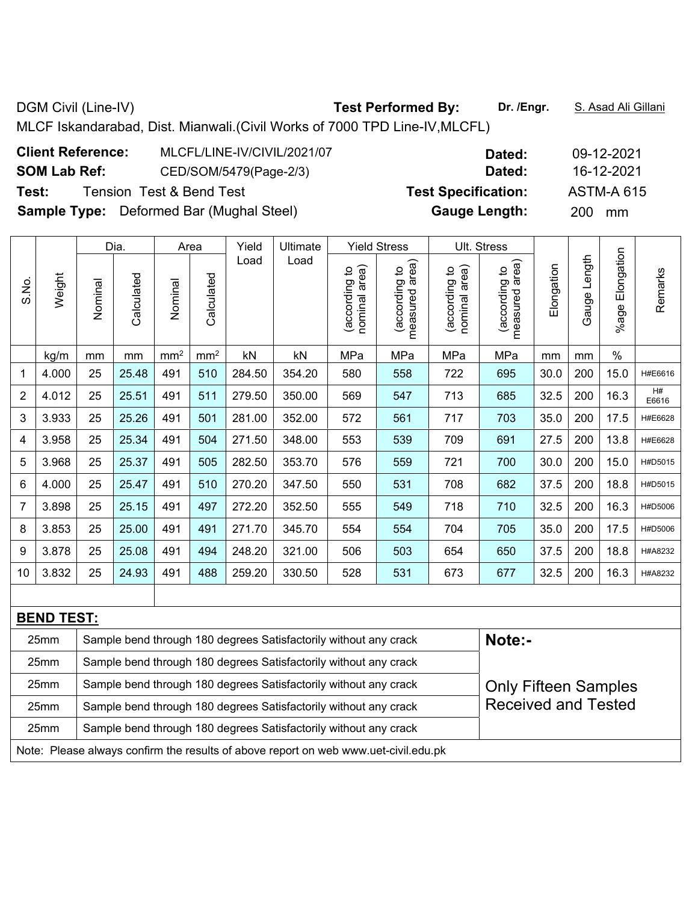**Client Reference:** MLCFL/LINE-IV/CIVIL/2021/07 **Dated:** 09-12-2021 **SOM Lab Ref:** CED/SOM/5479(Page-2/3) **Dated:** 16-12-2021 **Test:** Tension Test & Bend Test **Test Specification:** ASTM-A 615

**Sample Type:** Deformed Bar (Mughal Steel) **Gauge Length:** 200 mm

|                                                                                    |                   |         | Dia.       |                 | Area            | Yield  | Ultimate |                                | <b>Yield Stress</b>             |                                | Ult. Stress                        |            |              |                 |             |
|------------------------------------------------------------------------------------|-------------------|---------|------------|-----------------|-----------------|--------|----------|--------------------------------|---------------------------------|--------------------------------|------------------------------------|------------|--------------|-----------------|-------------|
| S.No.                                                                              | Weight            | Nominal | Calculated | Nominal         | Calculated      | Load   | Load     | nominal area)<br>(according to | measured area)<br>(according to | nominal area)<br>(according to | area)<br>(according to<br>measured | Elongation | Gauge Length | %age Elongation | Remarks     |
|                                                                                    | kg/m              | mm      | mm         | mm <sup>2</sup> | mm <sup>2</sup> | kN     | kN       | MPa                            | MPa                             | MPa                            | MPa                                | mm         | mm           | $\%$            |             |
| 1                                                                                  | 4.000             | 25      | 25.48      | 491             | 510             | 284.50 | 354.20   | 580                            | 558                             | 722                            | 695                                | 30.0       | 200          | 15.0            | H#E6616     |
| $\overline{2}$                                                                     | 4.012             | 25      | 25.51      | 491             | 511             | 279.50 | 350.00   | 569                            | 547                             | 713                            | 685                                | 32.5       | 200          | 16.3            | H#<br>E6616 |
| 3                                                                                  | 3.933             | 25      | 25.26      | 491             | 501             | 281.00 | 352.00   | 572                            | 561                             | 717                            | 703                                | 35.0       | 200          | 17.5            | H#E6628     |
| 4                                                                                  | 3.958             | 25      | 25.34      | 491             | 504             | 271.50 | 348.00   | 553                            | 539                             | 709                            | 691                                | 27.5       | 200          | 13.8            | H#E6628     |
| 5                                                                                  | 3.968             | 25      | 25.37      | 491             | 505             | 282.50 | 353.70   | 576                            | 559                             | 721                            | 700                                | 30.0       | 200          | 15.0            | H#D5015     |
| 6                                                                                  | 4.000             | 25      | 25.47      | 491             | 510             | 270.20 | 347.50   | 550                            | 531                             | 708                            | 682                                | 37.5       | 200          | 18.8            | H#D5015     |
| 7                                                                                  | 3.898             | 25      | 25.15      | 491             | 497             | 272.20 | 352.50   | 555                            | 549                             | 718                            | 710                                | 32.5       | 200          | 16.3            | H#D5006     |
| 8                                                                                  | 3.853             | 25      | 25.00      | 491             | 491             | 271.70 | 345.70   | 554                            | 554                             | 704                            | 705                                | 35.0       | 200          | 17.5            | H#D5006     |
| 9                                                                                  | 3.878             | 25      | 25.08      | 491             | 494             | 248.20 | 321.00   | 506                            | 503                             | 654                            | 650                                | 37.5       | 200          | 18.8            | H#A8232     |
| 10                                                                                 | 3.832             | 25      | 24.93      | 491             | 488             | 259.20 | 330.50   | 528                            | 531                             | 673                            | 677                                | 32.5       | 200          | 16.3            | H#A8232     |
|                                                                                    |                   |         |            |                 |                 |        |          |                                |                                 |                                |                                    |            |              |                 |             |
|                                                                                    | <b>BEND TEST:</b> |         |            |                 |                 |        |          |                                |                                 |                                |                                    |            |              |                 |             |
| Note:-<br>25mm<br>Sample bend through 180 degrees Satisfactorily without any crack |                   |         |            |                 |                 |        |          |                                |                                 |                                |                                    |            |              |                 |             |

| 25mm             | Sample bend through 180 degrees Satisfactorily without any crack                    |                             |
|------------------|-------------------------------------------------------------------------------------|-----------------------------|
| 25mm             | Sample bend through 180 degrees Satisfactorily without any crack                    | <b>Only Fifteen Samples</b> |
| 25 <sub>mm</sub> | Sample bend through 180 degrees Satisfactorily without any crack                    | <b>Received and Tested</b>  |
| 25mm             | Sample bend through 180 degrees Satisfactorily without any crack                    |                             |
|                  | Note: Please always confirm the results of above report on web www.uet-civil.edu.pk |                             |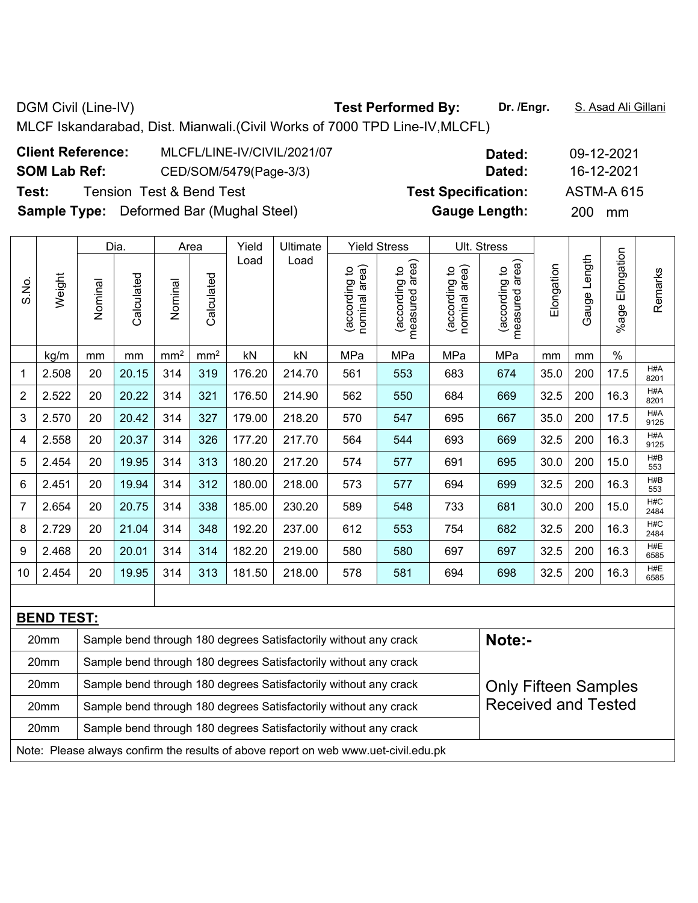| <b>Client Reference:</b> | MLCFL/LINE-IV/CIVIL/2021/07                     | Dated:                     | 09-12-202        |
|--------------------------|-------------------------------------------------|----------------------------|------------------|
| <b>SOM Lab Ref:</b>      | CED/SOM/5479(Page-3/3)                          | Dated:                     | 16-12-202        |
| Test:                    | <b>Tension Test &amp; Bend Test</b>             | <b>Test Specification:</b> | ASTM-A 6         |
|                          | <b>Sample Type:</b> Deformed Bar (Mughal Steel) | <b>Gauge Length:</b>       | <b>200</b><br>mm |

|                |                   |         | Dia.       |                 | Area            | Yield  | Ultimate |                                | <b>Yield Stress</b>                |                                | Ult. Stress                        |            |              |                    |             |
|----------------|-------------------|---------|------------|-----------------|-----------------|--------|----------|--------------------------------|------------------------------------|--------------------------------|------------------------------------|------------|--------------|--------------------|-------------|
| S.No.          | Weight            | Nominal | Calculated | Nominal         | Calculated      | Load   | Load     | nominal area)<br>(according to | area)<br>(according to<br>measured | nominal area)<br>(according to | area)<br>(according to<br>measured | Elongation | Gauge Length | Elongation<br>%age | Remarks     |
|                | kg/m              | mm      | mm         | mm <sup>2</sup> | mm <sup>2</sup> | kN     | kN       | MPa                            | MPa                                | MPa                            | MPa                                | mm         | mm           | $\%$               |             |
| 1              | 2.508             | 20      | 20.15      | 314             | 319             | 176.20 | 214.70   | 561                            | 553                                | 683                            | 674                                | 35.0       | 200          | 17.5               | H#A<br>8201 |
| $\overline{2}$ | 2.522             | 20      | 20.22      | 314             | 321             | 176.50 | 214.90   | 562                            | 550                                | 684                            | 669                                | 32.5       | 200          | 16.3               | H#A<br>8201 |
| 3              | 2.570             | 20      | 20.42      | 314             | 327             | 179.00 | 218.20   | 570                            | 547                                | 695                            | 667                                | 35.0       | 200          | 17.5               | H#A<br>9125 |
| 4              | 2.558             | 20      | 20.37      | 314             | 326             | 177.20 | 217.70   | 564                            | 544                                | 693                            | 669                                | 32.5       | 200          | 16.3               | H#A<br>9125 |
| 5              | 2.454             | 20      | 19.95      | 314             | 313             | 180.20 | 217.20   | 574                            | 577                                | 691                            | 695                                | 30.0       | 200          | 15.0               | H#B<br>553  |
| 6              | 2.451             | 20      | 19.94      | 314             | 312             | 180.00 | 218.00   | 573                            | 577                                | 694                            | 699                                | 32.5       | 200          | 16.3               | H#B<br>553  |
| 7              | 2.654             | 20      | 20.75      | 314             | 338             | 185.00 | 230.20   | 589                            | 548                                | 733                            | 681                                | 30.0       | 200          | 15.0               | H#C<br>2484 |
| 8              | 2.729             | 20      | 21.04      | 314             | 348             | 192.20 | 237.00   | 612                            | 553                                | 754                            | 682                                | 32.5       | 200          | 16.3               | H#C<br>2484 |
| 9              | 2.468             | 20      | 20.01      | 314             | 314             | 182.20 | 219.00   | 580                            | 580                                | 697                            | 697                                | 32.5       | 200          | 16.3               | H#E<br>6585 |
| 10             | 2.454             | 20      | 19.95      | 314             | 313             | 181.50 | 218.00   | 578                            | 581                                | 694                            | 698                                | 32.5       | 200          | 16.3               | H#E<br>6585 |
|                |                   |         |            |                 |                 |        |          |                                |                                    |                                |                                    |            |              |                    |             |
|                | <b>BEND TEST:</b> |         |            |                 |                 |        |          |                                |                                    |                                |                                    |            |              |                    |             |

| 20mm                                                                                | Sample bend through 180 degrees Satisfactorily without any crack | Note:-                      |  |  |  |  |  |  |
|-------------------------------------------------------------------------------------|------------------------------------------------------------------|-----------------------------|--|--|--|--|--|--|
| 20 <sub>mm</sub>                                                                    | Sample bend through 180 degrees Satisfactorily without any crack |                             |  |  |  |  |  |  |
| 20 <sub>mm</sub>                                                                    | Sample bend through 180 degrees Satisfactorily without any crack | <b>Only Fifteen Samples</b> |  |  |  |  |  |  |
| 20 <sub>mm</sub>                                                                    | Sample bend through 180 degrees Satisfactorily without any crack | <b>Received and Tested</b>  |  |  |  |  |  |  |
| 20 <sub>mm</sub>                                                                    | Sample bend through 180 degrees Satisfactorily without any crack |                             |  |  |  |  |  |  |
| Note: Please always confirm the results of above report on web www.uet-civil.edu.pk |                                                                  |                             |  |  |  |  |  |  |

**Client Reference:** MLCFL/LINE-IV/CIVIL/2021/07 **Dated:** 09-12-2021 **SOM Lab Ref:** CED/SOM/5479(Page-3/3) **Dated:** 16-12-2021

**Test:** Tension Test & Bend Test **Test Specification:** ASTM-A 615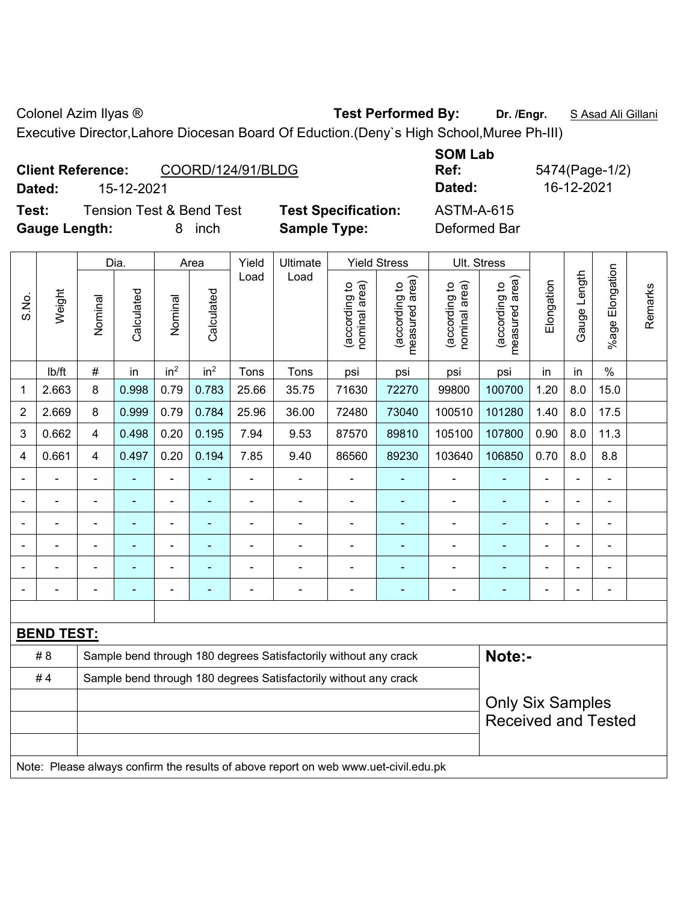Colonel Azim Ilyas ® **Test Performed By: Dr. /Engr.** S Asad Ali Gillani

Executive Director,Lahore Diocesan Board Of Eduction.(Deny`s High School,Muree Ph-III)

|        | <b>Client Reference:</b><br>COORD/124/91/BLDG |                            | UVII LUM<br>Ref: | 5474(Page-1/ |
|--------|-----------------------------------------------|----------------------------|------------------|--------------|
| Dated: | 15-12-2021                                    |                            | Dated:           | 16-12-2021   |
| Test:  | <b>Tension Test &amp; Bend Test</b>           | <b>Test Specification:</b> | ASTM-A-615       |              |

**Specification:** ASTM-A-615 **Gauge Length:** 8 inch **Sample Type:** Deformed Bar

**SOM Lab Ref:** 5474(Page-1/2)

|                          |                   |                | Dia.       |                              | Area            | Yield          | Ultimate                                                         |                                | <b>Yield Stress</b>             |                                | Ult. Stress                        |                              |                |                          |         |
|--------------------------|-------------------|----------------|------------|------------------------------|-----------------|----------------|------------------------------------------------------------------|--------------------------------|---------------------------------|--------------------------------|------------------------------------|------------------------------|----------------|--------------------------|---------|
| S.No.                    | Weight            | Nominal        | Calculated | Nominal                      | Calculated      | Load           | Load                                                             | nominal area)<br>(according to | measured area)<br>(according to | (according to<br>nominal area) | area)<br>(according to<br>measured | Elongation                   | Gauge Length   | %age Elongation          | Remarks |
|                          | lb/ft             | $\#$           | in         | in <sup>2</sup>              | in <sup>2</sup> | Tons           | Tons                                                             | psi                            | psi                             | psi                            | psi                                | in                           | in             | $\%$                     |         |
| 1                        | 2.663             | 8              | 0.998      | 0.79                         | 0.783           | 25.66          | 35.75                                                            | 71630                          | 72270                           | 99800                          | 100700                             | 1.20                         | 8.0            | 15.0                     |         |
| $\overline{2}$           | 2.669             | 8              | 0.999      | 0.79                         | 0.784           | 25.96          | 36.00                                                            | 72480                          | 73040                           | 100510                         | 101280                             | 1.40                         | 8.0            | 17.5                     |         |
| 3                        | 0.662             | 4              | 0.498      | 0.20                         | 0.195           | 7.94           | 9.53                                                             | 87570                          | 89810                           | 105100                         | 107800                             | 0.90                         | 8.0            | 11.3                     |         |
| 4                        | 0.661             | 4              | 0.497      | 0.20                         | 0.194           | 7.85           | 9.40                                                             | 86560                          | 89230                           | 103640                         | 106850                             | 0.70                         | 8.0            | 8.8                      |         |
|                          |                   | $\blacksquare$ |            | ۰                            | ٠               |                |                                                                  | $\blacksquare$                 |                                 |                                | ٠                                  | $\blacksquare$               | $\blacksquare$ | $\blacksquare$           |         |
|                          |                   | $\blacksquare$ | ÷,         | $\blacksquare$               | ۰               |                | $\overline{\phantom{0}}$                                         | $\blacksquare$                 | $\blacksquare$                  | $\blacksquare$                 | ۰                                  | $\blacksquare$               |                | $\blacksquare$           |         |
|                          |                   |                |            | ۰                            | -               |                |                                                                  | ۰                              |                                 |                                | ۰                                  | $\blacksquare$               |                |                          |         |
|                          | $\blacksquare$    | $\blacksquare$ | ۰          | $\blacksquare$               | ۰               | $\blacksquare$ | $\blacksquare$                                                   | $\blacksquare$                 | $\blacksquare$                  | $\blacksquare$                 | ٠                                  | $\blacksquare$               |                | $\blacksquare$           |         |
|                          |                   |                |            | $\blacksquare$               | -               |                |                                                                  |                                |                                 |                                |                                    | $\blacksquare$               |                |                          |         |
| $\overline{\phantom{0}}$ |                   | $\blacksquare$ | ۰          | $\qquad \qquad \blacksquare$ | ۰               | ٠              | ٠                                                                | -                              | $\overline{a}$                  | $\blacksquare$                 | $\overline{\phantom{0}}$           | $\qquad \qquad \blacksquare$ | $\blacksquare$ | $\overline{\phantom{0}}$ |         |
|                          |                   |                |            |                              |                 |                |                                                                  |                                |                                 |                                |                                    |                              |                |                          |         |
|                          | <b>BEND TEST:</b> |                |            |                              |                 |                |                                                                  |                                |                                 |                                |                                    |                              |                |                          |         |
|                          | # 8               |                |            |                              |                 |                | Sample bend through 180 degrees Satisfactorily without any crack |                                |                                 |                                | Note:-                             |                              |                |                          |         |
|                          | #4                |                |            |                              |                 |                | Sample bend through 180 degrees Satisfactorily without any crack |                                |                                 |                                |                                    |                              |                |                          |         |
|                          |                   |                |            |                              |                 |                |                                                                  |                                |                                 |                                | <b>Only Six Samples</b>            |                              |                |                          |         |
|                          |                   |                |            |                              |                 |                |                                                                  |                                |                                 | <b>Received and Tested</b>     |                                    |                              |                |                          |         |

Note: Please always confirm the results of above report on web www.uet-civil.edu.pk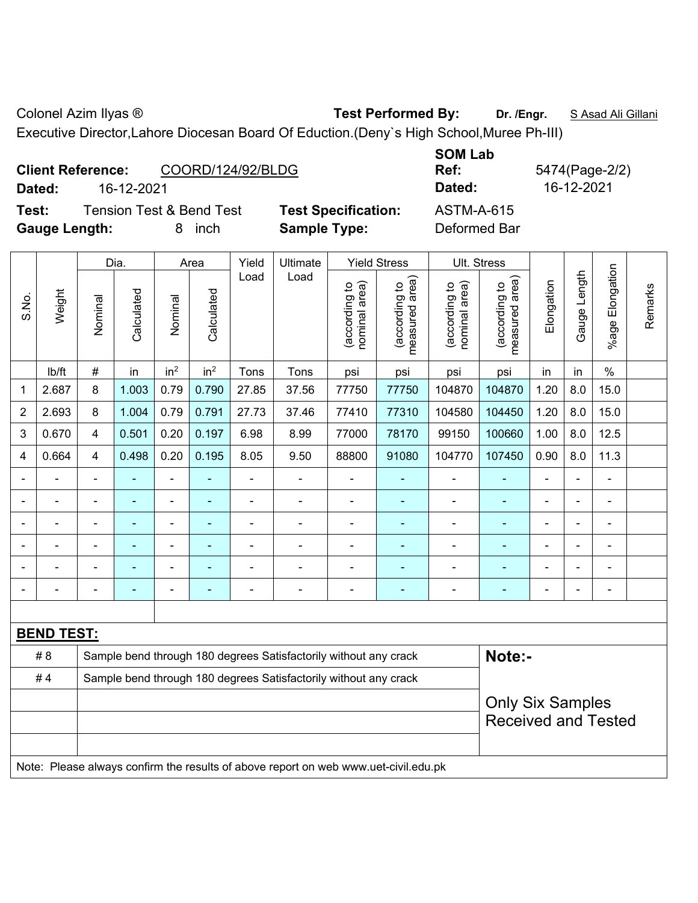Colonel Azim Ilyas ® **Test Performed By: Dr. /Engr.** S Asad Ali Gillani

Executive Director,Lahore Diocesan Board Of Eduction.(Deny`s High School,Muree Ph-III)

|        | <b>Client Reference:</b> | COORD/124/92/BLDG                   |      |
|--------|--------------------------|-------------------------------------|------|
| Dated: | 16-12-2021               |                                     |      |
| Test:  |                          | <b>Tension Test &amp; Bend Test</b> | Test |

**Specification:** ASTM-A-615

**SOM Lab Ref:** 5474(Page-2/2) **Dated:** 16-12-2021 **Dated:** 16-12-2021

**Gauge Length:** 8 inch **Sample Type:** Deformed Bar

|                |                   |                | Dia.       |                 | Area            | Yield          | Ultimate                                                                                 |                                | <b>Yield Stress</b>                         | Ult. Stress                    |                                 |                |              |                      |         |
|----------------|-------------------|----------------|------------|-----------------|-----------------|----------------|------------------------------------------------------------------------------------------|--------------------------------|---------------------------------------------|--------------------------------|---------------------------------|----------------|--------------|----------------------|---------|
| S.No.          | Weight            | Nominal        | Calculated | Nominal         | Calculated      | Load           | Load                                                                                     | (according to<br>nominal area) | (according to<br>neasured area)<br>measured | nominal area)<br>(according to | (according to<br>measured area) | Elongation     | Gauge Length | Elongation<br>%age l | Remarks |
|                | lb/ft             | $\#$           | in         | in <sup>2</sup> | in <sup>2</sup> | Tons           | Tons                                                                                     | psi                            | psi                                         | psi                            | psi                             | in             | in           | $\%$                 |         |
| 1              | 2.687             | 8              | 1.003      | 0.79            | 0.790           | 27.85          | 37.56                                                                                    | 77750                          | 77750                                       | 104870                         | 104870                          | 1.20           | 8.0          | 15.0                 |         |
| $\overline{2}$ | 2.693             | $\bf 8$        | 1.004      | 0.79            | 0.791           | 27.73          | 37.46                                                                                    | 77410                          | 77310                                       | 104580                         | 104450                          | 1.20           | 8.0          | 15.0                 |         |
| 3              | 0.670             | $\overline{4}$ | 0.501      | 0.20            | 0.197           | 6.98           | 8.99                                                                                     | 77000                          | 78170                                       | 99150                          | 100660                          | 1.00           | 8.0          | 12.5                 |         |
| 4              | 0.664             | 4              | 0.498      | 0.20            | 0.195           | 8.05           | 9.50                                                                                     | 88800                          | 91080                                       | 104770                         | 107450                          | 0.90           | 8.0          | 11.3                 |         |
|                |                   | $\blacksquare$ | ÷,         | $\blacksquare$  |                 | $\blacksquare$ | ÷                                                                                        |                                |                                             | $\overline{\phantom{a}}$       | $\blacksquare$                  | ä,             |              | $\blacksquare$       |         |
|                |                   |                | ÷,         | $\blacksquare$  |                 |                |                                                                                          |                                |                                             |                                |                                 |                |              | $\blacksquare$       |         |
|                |                   | $\blacksquare$ |            |                 |                 |                |                                                                                          |                                |                                             | $\blacksquare$                 |                                 |                |              |                      |         |
| $\blacksquare$ |                   | $\blacksquare$ | ۰          | $\blacksquare$  |                 |                | ÷                                                                                        | Ē,                             |                                             | $\blacksquare$                 |                                 | $\blacksquare$ |              | $\blacksquare$       |         |
|                |                   | $\blacksquare$ | -          | ۰               |                 |                |                                                                                          |                                |                                             | $\blacksquare$                 |                                 |                |              | $\blacksquare$       |         |
|                |                   |                |            |                 |                 |                | ÷                                                                                        |                                |                                             | $\blacksquare$                 | ۰                               |                |              | ۰                    |         |
|                |                   |                |            |                 |                 |                |                                                                                          |                                |                                             |                                |                                 |                |              |                      |         |
|                | <b>BEND TEST:</b> |                |            |                 |                 |                |                                                                                          |                                |                                             |                                |                                 |                |              |                      |         |
|                | #8                |                |            |                 |                 |                | Sample bend through 180 degrees Satisfactorily without any crack                         |                                |                                             |                                | Note:-                          |                |              |                      |         |
|                | #4                |                |            |                 |                 |                | Sample bend through 180 degrees Satisfactorily without any crack                         |                                |                                             |                                |                                 |                |              |                      |         |
|                |                   |                |            |                 |                 |                |                                                                                          |                                |                                             |                                | <b>Only Six Samples</b>         |                |              |                      |         |
|                |                   |                |            |                 |                 |                |                                                                                          |                                |                                             |                                | <b>Received and Tested</b>      |                |              |                      |         |
|                |                   |                |            |                 |                 |                |                                                                                          |                                |                                             |                                |                                 |                |              |                      |         |
|                |                   |                |            |                 |                 |                | Note: Dlogge olympic confirm the require of oboys report on useb using ust objid odu ply |                                |                                             |                                |                                 |                |              |                      |         |

Note: Please always confirm the results of above report on web www.uet-civil.edu.pk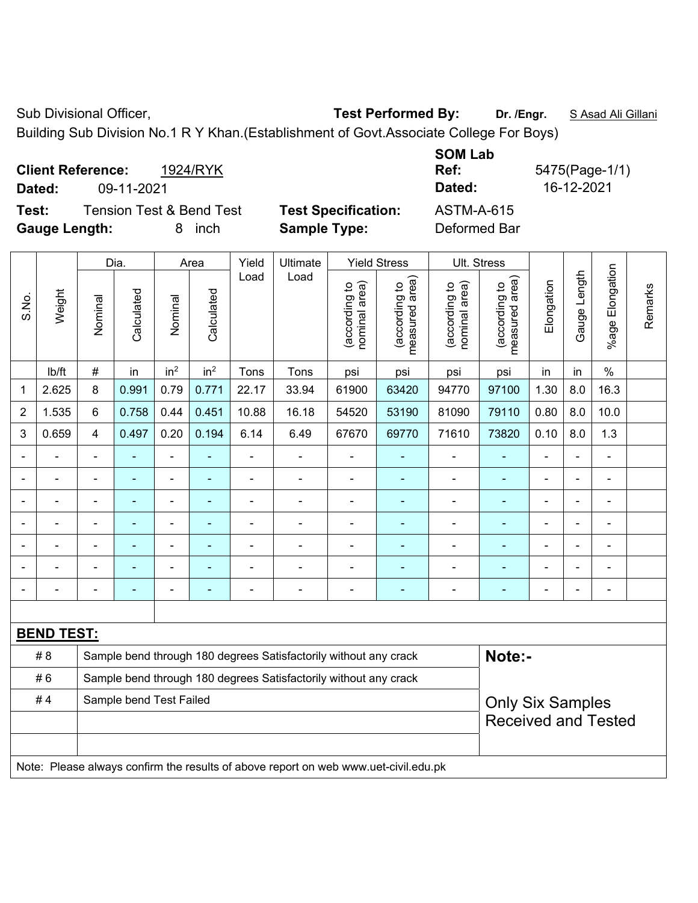Sub Divisional Officer, **Test Performed By:** Dr. /Engr. **SAsad Ali Gillani** Sub Divisional Officer,

Building Sub Division No.1 R Y Khan.(Establishment of Govt.Associate College For Boys)

| <b>Client Reference:</b> |            | 1924/RYK                            |                            | <b>SUM LAD</b><br>Ref: | 5475(Page-1/1) |
|--------------------------|------------|-------------------------------------|----------------------------|------------------------|----------------|
| Dated:                   | 09-11-2021 |                                     |                            | Dated:                 | 16-12-2021     |
| Test:                    |            | <b>Tension Test &amp; Bend Test</b> | <b>Test Specification:</b> | ASTM-A-615             |                |
| <b>Gauge Length:</b>     |            | inch<br>8                           | <b>Sample Type:</b>        | Deformed Bar           |                |

|                |                   |                                                                                     | Dia.                                                                       |                 | Area                     | Yield                    | Ultimate                                                         |                                | <b>Yield Stress</b>             |                                | Ult. Stress                     |                          |              |                          |         |
|----------------|-------------------|-------------------------------------------------------------------------------------|----------------------------------------------------------------------------|-----------------|--------------------------|--------------------------|------------------------------------------------------------------|--------------------------------|---------------------------------|--------------------------------|---------------------------------|--------------------------|--------------|--------------------------|---------|
| S.No.          | Weight            | Nominal                                                                             | Calculated                                                                 | Nominal         | Calculated               | Load                     | Load                                                             | nominal area)<br>(according to | (according to<br>measured area) | nominal area)<br>(according to | (according to<br>measured area) | Elongation               | Gauge Length | %age Elongation          | Remarks |
|                | Ib/ft             | $\#$                                                                                | in                                                                         | in <sup>2</sup> | in <sup>2</sup>          | Tons                     | Tons                                                             | psi                            | psi                             | psi                            | psi                             | in                       | in           | $\%$                     |         |
| 1              | 2.625             | 8                                                                                   | 0.991                                                                      | 0.79            | 0.771                    | 22.17                    | 33.94                                                            | 61900                          | 63420                           | 94770                          | 97100                           | 1.30                     | 8.0          | 16.3                     |         |
| $\overline{2}$ | 1.535             | 6                                                                                   | 0.758                                                                      | 0.44            | 0.451                    | 10.88                    | 16.18                                                            | 54520                          | 53190                           | 81090                          | 79110                           | 0.80                     | 8.0          | 10.0                     |         |
| 3              | 0.659             | $\overline{4}$                                                                      | 0.497                                                                      | 0.20            | 0.194                    | 6.14                     | 6.49                                                             | 67670                          | 69770                           | 71610                          | 73820                           | 0.10                     | 8.0          | 1.3                      |         |
|                |                   | L.                                                                                  | $\blacksquare$                                                             | $\blacksquare$  | ä,                       | L,                       | L,                                                               | ä,                             |                                 |                                | ä,                              | $\blacksquare$           |              | ÷,                       |         |
|                | ä,                |                                                                                     | ä,                                                                         | ÷               |                          | $\blacksquare$           | ä,                                                               | $\blacksquare$                 | ۰                               | $\blacksquare$                 | ä,                              |                          |              | ä,                       |         |
|                |                   |                                                                                     |                                                                            |                 |                          |                          | ÷                                                                | $\blacksquare$                 |                                 |                                |                                 |                          |              | $\blacksquare$           |         |
|                |                   |                                                                                     |                                                                            |                 |                          |                          |                                                                  |                                |                                 |                                |                                 |                          |              |                          |         |
|                |                   | $\overline{a}$                                                                      |                                                                            | $\blacksquare$  | $\overline{\phantom{0}}$ |                          | $\overline{\phantom{0}}$                                         | $\blacksquare$                 |                                 | $\overline{\phantom{0}}$       | $\overline{\phantom{0}}$        |                          |              | $\overline{a}$           |         |
|                |                   |                                                                                     |                                                                            | $\blacksquare$  |                          |                          |                                                                  | $\blacksquare$                 |                                 |                                |                                 |                          |              | ÷                        |         |
|                |                   | $\blacksquare$                                                                      |                                                                            | $\overline{a}$  | $\blacksquare$           | $\overline{\phantom{0}}$ | $\overline{\phantom{0}}$                                         | $\overline{a}$                 | ۰                               | -                              | ۰                               | $\overline{\phantom{0}}$ |              | $\overline{\phantom{a}}$ |         |
|                |                   |                                                                                     |                                                                            |                 |                          |                          |                                                                  |                                |                                 |                                |                                 |                          |              |                          |         |
|                | <b>BEND TEST:</b> |                                                                                     |                                                                            |                 |                          |                          |                                                                  |                                |                                 |                                |                                 |                          |              |                          |         |
|                | # 8               |                                                                                     | Note:-<br>Sample bend through 180 degrees Satisfactorily without any crack |                 |                          |                          |                                                                  |                                |                                 |                                |                                 |                          |              |                          |         |
|                | #6                |                                                                                     |                                                                            |                 |                          |                          | Sample bend through 180 degrees Satisfactorily without any crack |                                |                                 |                                |                                 |                          |              |                          |         |
|                | #4                |                                                                                     | Sample bend Test Failed                                                    |                 |                          |                          |                                                                  |                                |                                 |                                | <b>Only Six Samples</b>         |                          |              |                          |         |
|                |                   |                                                                                     |                                                                            |                 |                          |                          |                                                                  |                                |                                 |                                | <b>Received and Tested</b>      |                          |              |                          |         |
|                |                   |                                                                                     |                                                                            |                 |                          |                          |                                                                  |                                |                                 |                                |                                 |                          |              |                          |         |
|                |                   | Note: Please always confirm the results of above report on web www.uet-civil.edu.pk |                                                                            |                 |                          |                          |                                                                  |                                |                                 |                                |                                 |                          |              |                          |         |

**SOM Lab**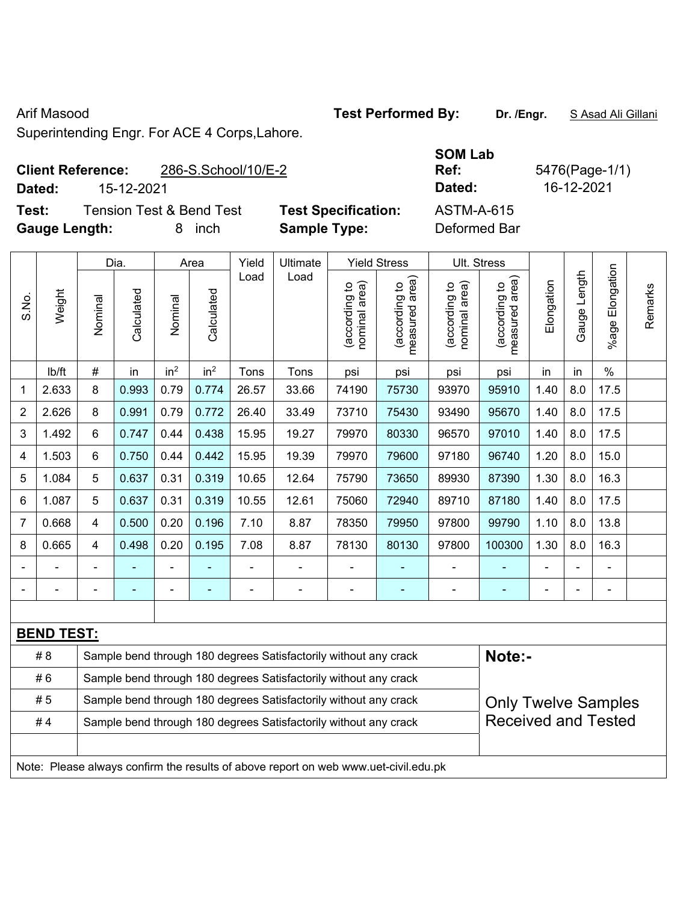'n

Arif Masood **Test Performed By:** Dr. /Engr. **SAsad Ali Gillani** Collection 2014

Superintending Engr. For ACE 4 Corps,Lahore.

## **Client Reference:** 286-S.School/10/E-2

**Dated:** 15-12-2021 **Dated:** 16-12-2021

**Test:** Tension Test & Bend Test **Test Specification: Gauge Length:** 8 inch **Sample Type:** Deformed Bar

| <b>SOM Lab</b> |    |
|----------------|----|
| Ref:           | 5۷ |
| Dated:         |    |
| ASTM-A-615     |    |
| Defermed Der   |    |

**Ref:** 5476(Page-1/1)

|                |                   |                                                                  | Dia.                                                                                |                          | Area            | Yield | Ultimate                                                         | <b>Yield Stress</b>            |                                 | Ult. Stress                    |                                 |                |              |                 |         |
|----------------|-------------------|------------------------------------------------------------------|-------------------------------------------------------------------------------------|--------------------------|-----------------|-------|------------------------------------------------------------------|--------------------------------|---------------------------------|--------------------------------|---------------------------------|----------------|--------------|-----------------|---------|
| S.No.          | Weight            | Nominal                                                          | Calculated                                                                          | Nominal                  | Calculated      | Load  | Load                                                             | nominal area)<br>(according to | (according to<br>measured area) | (according to<br>nominal area) | measured area)<br>(according to | Elongation     | Gauge Length | %age Elongation | Remarks |
|                | lb/ft             | $\#$                                                             | in                                                                                  | in <sup>2</sup>          | in <sup>2</sup> | Tons  | Tons                                                             | psi                            | psi                             | psi                            | psi                             | in             | in           | $\%$            |         |
| 1              | 2.633             | 8                                                                | 0.993                                                                               | 0.79                     | 0.774           | 26.57 | 33.66                                                            | 74190                          | 75730                           | 93970                          | 95910                           | 1.40           | 8.0          | 17.5            |         |
| $\overline{2}$ | 2.626             | 8                                                                | 0.991                                                                               | 0.79                     | 0.772           | 26.40 | 33.49                                                            | 73710                          | 75430                           | 93490                          | 95670                           | 1.40           | 8.0          | 17.5            |         |
| $\mathbf{3}$   | 1.492             | 6                                                                | 0.747                                                                               | 0.44                     | 0.438           | 15.95 | 19.27                                                            | 79970                          | 80330                           | 96570                          | 97010                           | 1.40           | 8.0          | 17.5            |         |
| 4              | 1.503             | $6\phantom{1}$                                                   | 0.750                                                                               | 0.44                     | 0.442           | 15.95 | 19.39                                                            | 79970                          | 79600                           | 97180                          | 96740                           | 1.20           | 8.0          | 15.0            |         |
| 5              | 1.084             | 5                                                                | 0.637                                                                               | 0.31                     | 0.319           | 10.65 | 12.64                                                            | 75790                          | 73650                           | 89930                          | 87390                           | 1.30           | 8.0          | 16.3            |         |
| 6              | 1.087             | 5                                                                | 0.637                                                                               | 0.31                     | 0.319           | 10.55 | 12.61                                                            | 75060                          | 72940                           | 89710                          | 87180                           | 1.40           | 8.0          | 17.5            |         |
| $\overline{7}$ | 0.668             | $\overline{4}$                                                   | 0.500                                                                               | 0.20                     | 0.196           | 7.10  | 8.87                                                             | 78350                          | 79950                           | 97800                          | 99790                           | 1.10           | 8.0          | 13.8            |         |
| 8              | 0.665             | $\overline{4}$                                                   | 0.498                                                                               | 0.20                     | 0.195           | 7.08  | 8.87                                                             | 78130                          | 80130                           | 97800                          | 100300                          | 1.30           | 8.0          | 16.3            |         |
| $\blacksquare$ |                   | $\blacksquare$                                                   |                                                                                     | $\overline{\phantom{0}}$ | ä,              |       |                                                                  | $\blacksquare$                 | ۰                               | $\overline{\phantom{a}}$       | $\blacksquare$                  |                | L,           | $\blacksquare$  |         |
|                |                   | $\blacksquare$                                                   |                                                                                     | $\blacksquare$           | $\blacksquare$  |       | $\blacksquare$                                                   | $\blacksquare$                 | $\blacksquare$                  | $\blacksquare$                 | $\blacksquare$                  | $\blacksquare$ | ä,           | $\blacksquare$  |         |
|                |                   |                                                                  |                                                                                     |                          |                 |       |                                                                  |                                |                                 |                                |                                 |                |              |                 |         |
|                | <b>BEND TEST:</b> |                                                                  |                                                                                     |                          |                 |       |                                                                  |                                |                                 |                                |                                 |                |              |                 |         |
|                | # 8               |                                                                  |                                                                                     |                          |                 |       | Sample bend through 180 degrees Satisfactorily without any crack |                                |                                 |                                | Note:-                          |                |              |                 |         |
|                | #6                | Sample bend through 180 degrees Satisfactorily without any crack |                                                                                     |                          |                 |       |                                                                  |                                |                                 |                                |                                 |                |              |                 |         |
|                | # 5               |                                                                  |                                                                                     |                          |                 |       | Sample bend through 180 degrees Satisfactorily without any crack |                                |                                 |                                | <b>Only Twelve Samples</b>      |                |              |                 |         |
|                | #4                |                                                                  |                                                                                     |                          |                 |       | Sample bend through 180 degrees Satisfactorily without any crack |                                |                                 |                                | <b>Received and Tested</b>      |                |              |                 |         |
|                |                   |                                                                  |                                                                                     |                          |                 |       |                                                                  |                                |                                 |                                |                                 |                |              |                 |         |
|                |                   |                                                                  | Note: Please always confirm the results of above report on web www.uet-civil.edu.pk |                          |                 |       |                                                                  |                                |                                 |                                |                                 |                |              |                 |         |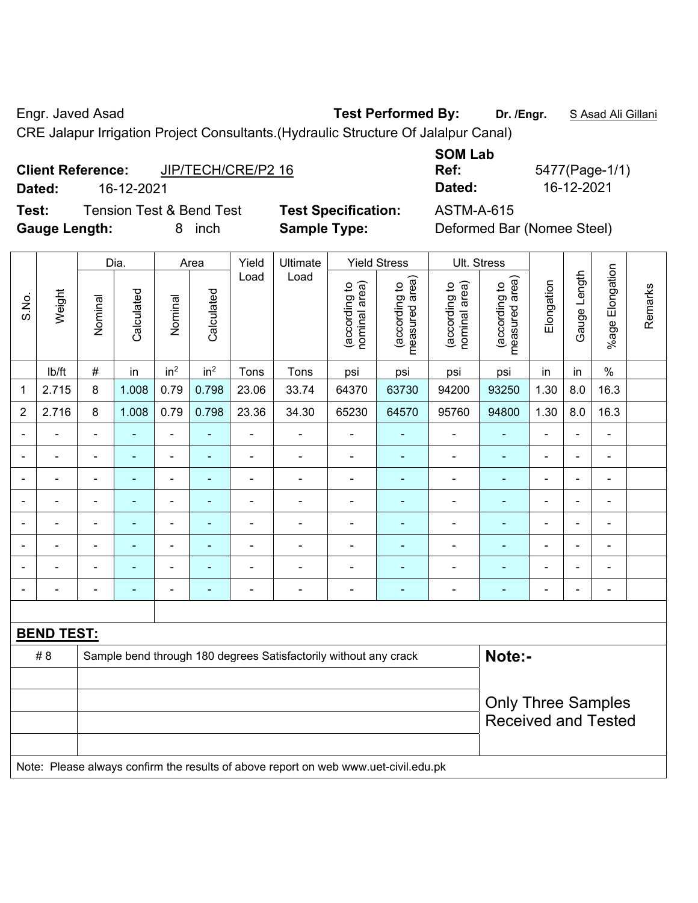Engr. Javed Asad **Test Performed By: Dr. /Engr.** S Asad Ali Gillani

CRE Jalapur Irrigation Project Consultants.(Hydraulic Structure Of Jalalpur Canal)

| <b>Client Reference:</b> | JIP/TECH/CRE/P2 16 |
|--------------------------|--------------------|
|                          |                    |

**Test:** Tension Test & Bend Test **Test Specification:** ASTM-A-615 **Gauge Length:** 8 inch **Sample Type:** Deformed Bar (Nomee Steel)

**SOM Lab Ref:** 5477(Page-1/1) **Dated:** 16-12-2021 **Dated:** 16-12-2021

|                |                   |                | Dia.           |                              | Area            | Yield<br>Ultimate<br><b>Yield Stress</b><br>Load<br>Load |                                                                                     |                                | Ult. Stress                     |                                |                                 |                          |                |                 |         |
|----------------|-------------------|----------------|----------------|------------------------------|-----------------|----------------------------------------------------------|-------------------------------------------------------------------------------------|--------------------------------|---------------------------------|--------------------------------|---------------------------------|--------------------------|----------------|-----------------|---------|
| S.No.          | Weight            | Nominal        | Calculated     | Nominal                      | Calculated      |                                                          |                                                                                     | nominal area)<br>(according to | (according to<br>measured area) | (according to<br>nominal area) | (according to<br>measured area) | Elongation               | Gauge Length   | %age Elongation | Remarks |
|                | lb/ft             | $\#$           | in             | in <sup>2</sup>              | in <sup>2</sup> | Tons                                                     | Tons                                                                                | psi                            | psi                             | psi                            | psi                             | in                       | in             | $\%$            |         |
| 1              | 2.715             | 8              | 1.008          | 0.79                         | 0.798           | 23.06                                                    | 33.74                                                                               | 64370                          | 63730                           | 94200                          | 93250                           | 1.30                     | 8.0            | 16.3            |         |
| $\overline{2}$ | 2.716             | $\,8\,$        | 1.008          | 0.79                         | 0.798           | 23.36                                                    | 34.30                                                                               | 65230                          | 64570                           | 95760                          | 94800                           | 1.30                     | 8.0            | 16.3            |         |
|                |                   |                |                | ÷,                           |                 | $\blacksquare$                                           | $\overline{\phantom{a}}$                                                            | L,                             |                                 |                                |                                 | $\overline{\phantom{a}}$ |                | $\blacksquare$  |         |
|                |                   | $\blacksquare$ | ۰              | ۰                            | ۰               | $\blacksquare$                                           | $\blacksquare$                                                                      |                                | ۰                               | ٠                              | $\blacksquare$                  | $\blacksquare$           |                | $\blacksquare$  |         |
|                | $\blacksquare$    | $\blacksquare$ | $\blacksquare$ | $\qquad \qquad \blacksquare$ | ۰               | $\blacksquare$                                           | ä,                                                                                  | $\blacksquare$                 | ۰                               | $\overline{\phantom{a}}$       | $\blacksquare$                  | $\blacksquare$           | $\blacksquare$ | ÷,              |         |
|                | ÷                 | $\blacksquare$ | ÷,             | $\qquad \qquad \blacksquare$ |                 | $\blacksquare$                                           | $\blacksquare$                                                                      | ä,                             |                                 | $\overline{\phantom{a}}$       | $\blacksquare$                  | $\blacksquare$           |                | ÷,              |         |
|                | $\blacksquare$    | ä,             | ä,             | $\blacksquare$               |                 |                                                          | ä,                                                                                  | $\blacksquare$                 | ۰                               | $\blacksquare$                 | $\blacksquare$                  | $\overline{a}$           |                | ä,              |         |
|                |                   |                | $\blacksquare$ | $\blacksquare$               |                 |                                                          | Ē,                                                                                  | ä,                             |                                 |                                | $\blacksquare$                  |                          |                | $\blacksquare$  |         |
|                |                   |                |                | ۰                            |                 |                                                          |                                                                                     | $\blacksquare$                 |                                 |                                |                                 |                          |                |                 |         |
|                |                   |                | $\blacksquare$ | ۰                            | ۰               | $\blacksquare$                                           | $\blacksquare$                                                                      |                                | ۰                               | ۰                              | $\blacksquare$                  | $\blacksquare$           |                | $\blacksquare$  |         |
|                |                   |                |                |                              |                 |                                                          |                                                                                     |                                |                                 |                                |                                 |                          |                |                 |         |
|                | <b>BEND TEST:</b> |                |                |                              |                 |                                                          |                                                                                     |                                |                                 |                                |                                 |                          |                |                 |         |
|                | # 8               |                |                |                              |                 |                                                          | Sample bend through 180 degrees Satisfactorily without any crack                    |                                |                                 |                                | Note:-                          |                          |                |                 |         |
|                |                   |                |                |                              |                 |                                                          |                                                                                     |                                |                                 |                                |                                 |                          |                |                 |         |
|                |                   |                |                |                              |                 |                                                          |                                                                                     |                                |                                 |                                | <b>Only Three Samples</b>       |                          |                |                 |         |
|                |                   |                |                |                              |                 |                                                          |                                                                                     |                                |                                 |                                | <b>Received and Tested</b>      |                          |                |                 |         |
|                |                   |                |                |                              |                 |                                                          |                                                                                     |                                |                                 |                                |                                 |                          |                |                 |         |
|                |                   |                |                |                              |                 |                                                          | Note: Please always confirm the results of above report on web www.uet-civil.edu.pk |                                |                                 |                                |                                 |                          |                |                 |         |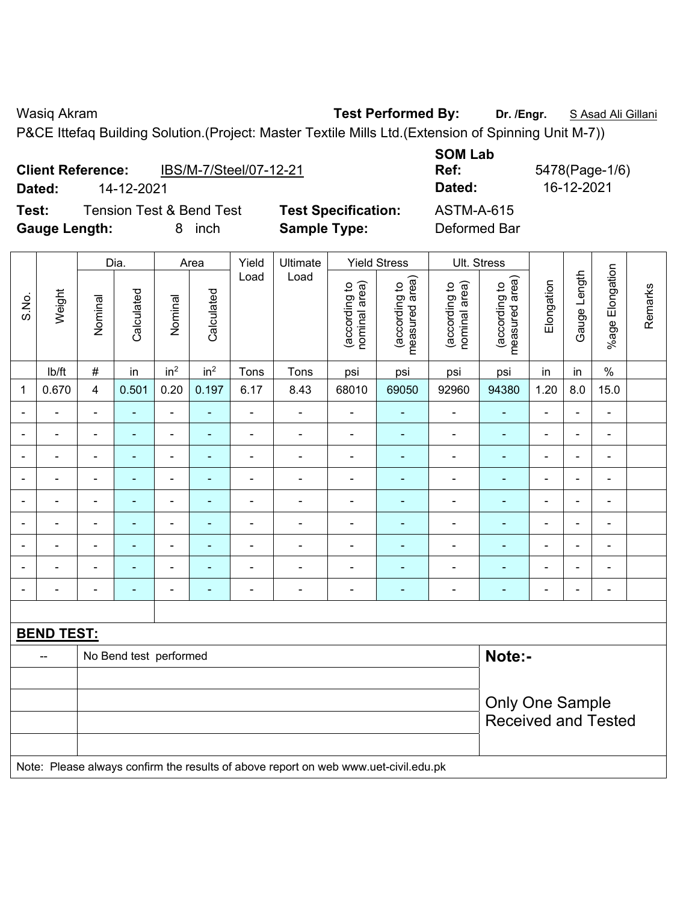**Client Reference:** IBS/M-7/Steel/07-12-21

Wasiq Akram **Test Performed By:** Dr. /Engr. **SAsad Ali Gillani** Compared Act 2014

P&CE Ittefaq Building Solution.(Project: Master Textile Mills Ltd.(Extension of Spinning Unit M-7))

|       |                                                                                                                    | <b>Tension Test &amp; Bend Test</b>                                                   |                |                                   |                          |                |                          |                                |                                 |                                |                                                      |                |                          |                          |         |
|-------|--------------------------------------------------------------------------------------------------------------------|---------------------------------------------------------------------------------------|----------------|-----------------------------------|--------------------------|----------------|--------------------------|--------------------------------|---------------------------------|--------------------------------|------------------------------------------------------|----------------|--------------------------|--------------------------|---------|
| Test: | <b>Test Specification:</b><br><b>Sample Type:</b><br><b>Gauge Length:</b><br>8 inch<br><b>Yield Stress</b><br>Dia. |                                                                                       |                | <b>ASTM-A-615</b><br>Deformed Bar |                          |                |                          |                                |                                 |                                |                                                      |                |                          |                          |         |
|       |                                                                                                                    |                                                                                       |                |                                   | Area                     | Yield          | Ultimate                 |                                |                                 | Ult. Stress                    |                                                      |                |                          |                          |         |
| S.No. | Weight                                                                                                             | Nominal                                                                               | Calculated     | Nominal                           | Calculated               | Load           | Load                     | (according to<br>nominal area) | (according to<br>measured area) | (according to<br>nominal area) | (according to<br>measured area)                      | Elongation     | Gauge Length             | %age Elongation          | Remarks |
|       | lb/ft                                                                                                              | in <sup>2</sup><br>in <sup>2</sup><br>$\#$<br>in<br>Tons<br>Tons<br>psi<br>psi<br>psi |                |                                   |                          |                |                          |                                |                                 | psi                            | in                                                   | in             | $\frac{0}{0}$            |                          |         |
| 1     | 0.670                                                                                                              | $\overline{\mathbf{4}}$                                                               | 0.501          | 0.20                              | 0.197                    | 6.17           | 8.43                     | 68010                          | 69050                           | 92960                          | 94380                                                | 1.20           | 8.0                      | 15.0                     |         |
|       |                                                                                                                    | $\blacksquare$                                                                        | $\frac{1}{2}$  | $\blacksquare$                    | ÷,                       | ä,             |                          |                                |                                 | $\blacksquare$                 | ÷                                                    | $\blacksquare$ | $\blacksquare$           | ÷                        |         |
|       |                                                                                                                    | L.                                                                                    |                | $\blacksquare$                    | Ξ                        |                | $\blacksquare$           | $\blacksquare$                 |                                 | $\blacksquare$                 | $\blacksquare$                                       | $\blacksquare$ | $\overline{\phantom{a}}$ | $\blacksquare$           |         |
|       |                                                                                                                    | ä,                                                                                    |                | ÷,                                | $\blacksquare$<br>۰      |                |                          |                                |                                 |                                |                                                      |                |                          | ۰                        |         |
|       |                                                                                                                    |                                                                                       |                | $\blacksquare$                    |                          |                |                          |                                |                                 |                                | $\blacksquare$                                       |                |                          |                          |         |
|       |                                                                                                                    | $\blacksquare$                                                                        | ÷,             | $\blacksquare$                    | ۰                        | ä,             | $\overline{\phantom{a}}$ | $\blacksquare$                 | $\overline{\phantom{a}}$        | $\qquad \qquad \blacksquare$   | $\frac{1}{2}$                                        | $\blacksquare$ | $\blacksquare$           | $\blacksquare$           |         |
|       |                                                                                                                    | $\blacksquare$                                                                        | ÷,             | $\blacksquare$                    | ÷                        | ä,             | $\blacksquare$           | $\blacksquare$                 |                                 | $\blacksquare$                 | $\frac{1}{2}$                                        | ÷,             | ÷,                       | ÷,                       |         |
|       |                                                                                                                    | $\blacksquare$                                                                        | $\blacksquare$ | $\blacksquare$                    | ۰                        | ä,             | $\blacksquare$           | ä,                             | $\overline{\phantom{a}}$        | ÷,                             | ٠                                                    | $\blacksquare$ | $\blacksquare$           | $\frac{1}{2}$            |         |
|       |                                                                                                                    |                                                                                       | $\blacksquare$ | $\overline{\phantom{a}}$          | ۰                        | $\blacksquare$ | $\blacksquare$           |                                |                                 | $\blacksquare$                 | ۰                                                    |                | $\blacksquare$           | $\overline{\phantom{a}}$ |         |
|       |                                                                                                                    |                                                                                       | $\blacksquare$ | $\blacksquare$                    | $\overline{\phantom{0}}$ |                | $\blacksquare$           | $\blacksquare$                 | $\overline{\phantom{a}}$        | $\blacksquare$                 | $\blacksquare$                                       |                |                          | $\blacksquare$           |         |
|       |                                                                                                                    |                                                                                       |                |                                   |                          |                |                          |                                |                                 |                                |                                                      |                |                          |                          |         |
|       | <b>BEND TEST:</b>                                                                                                  |                                                                                       |                |                                   |                          |                |                          |                                |                                 |                                |                                                      |                |                          |                          |         |
|       | --                                                                                                                 | Note:-<br>No Bend test performed                                                      |                |                                   |                          |                |                          |                                |                                 |                                |                                                      |                |                          |                          |         |
|       |                                                                                                                    |                                                                                       |                |                                   |                          |                |                          |                                |                                 |                                |                                                      |                |                          |                          |         |
|       |                                                                                                                    |                                                                                       |                |                                   |                          |                |                          |                                |                                 |                                | <b>Only One Sample</b><br><b>Received and Tested</b> |                |                          |                          |         |
|       | Note: Please always confirm the results of above report on web www.uet-civil.edu.pk                                |                                                                                       |                |                                   |                          |                |                          |                                |                                 |                                |                                                      |                |                          |                          |         |

**SOM Lab Ref:** 5478(Page-1/6) **Dated:** 14-12-2021 **Dated:** 16-12-2021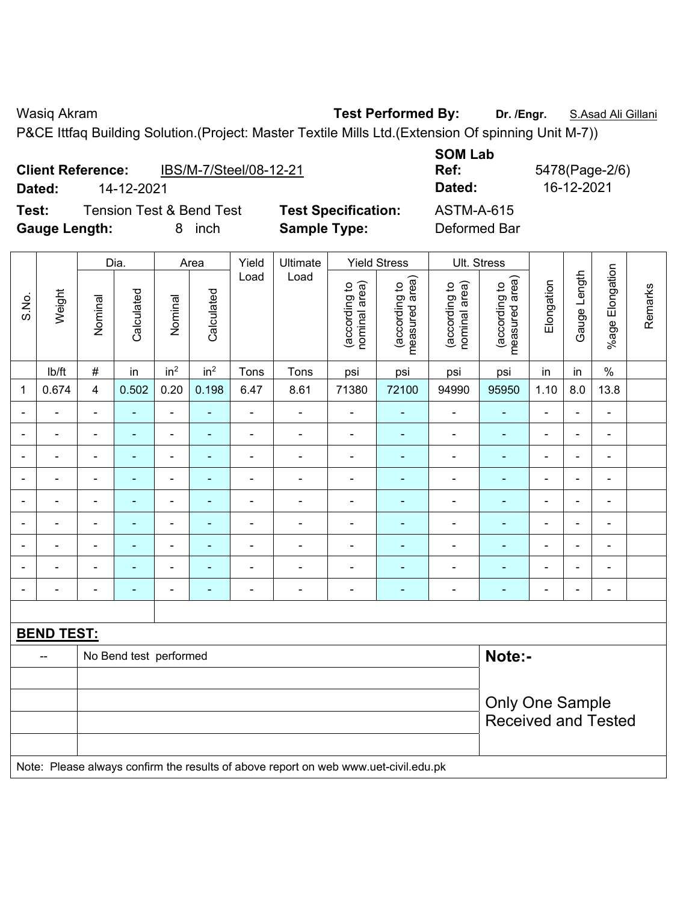**Client Reference:** IBS/M-7/Steel/08-12-21

Wasiq Akram **Test Performed By:** Dr. /Engr. **S.Asad Ali Gillani** Club Act 2014

P&CE Ittfaq Building Solution.(Project: Master Textile Mills Ltd.(Extension Of spinning Unit M-7))

| Test:        |                      |                        | <b>Tension Test &amp; Bend Test</b> |                 |                 |                | <b>Test Specification:</b>                                                          |                                | <b>ASTM-A-615</b>               |                                |                                 |                |                |                              |         |
|--------------|----------------------|------------------------|-------------------------------------|-----------------|-----------------|----------------|-------------------------------------------------------------------------------------|--------------------------------|---------------------------------|--------------------------------|---------------------------------|----------------|----------------|------------------------------|---------|
|              | <b>Gauge Length:</b> |                        |                                     | 8               | inch            |                | <b>Sample Type:</b>                                                                 |                                |                                 | Deformed Bar                   |                                 |                |                |                              |         |
|              |                      |                        |                                     |                 |                 |                |                                                                                     |                                |                                 |                                |                                 |                |                |                              |         |
|              |                      |                        | Dia.                                |                 | Area            | Yield          | Ultimate                                                                            |                                | <b>Yield Stress</b>             | Ult. Stress                    |                                 |                |                |                              |         |
| S.No.        | Weight               | Nominal                | Calculated                          | Nominal         | Calculated      | Load           | Load                                                                                | (according to<br>nominal area) | (according to<br>measured area) | (according to<br>nominal area) | measured area)<br>(according to | Elongation     | Gauge Length   | %age Elongation              | Remarks |
|              | Ib/ft                | $\#$                   | in                                  | in <sup>2</sup> | in <sup>2</sup> | Tons           | Tons                                                                                | psi                            | psi                             | psi                            | psi                             | in             | in             | $\%$                         |         |
| $\mathbf{1}$ | 0.674                | 4                      | 0.502                               | 0.20            | 0.198           | 6.47           | 8.61                                                                                | 71380                          | 72100                           | 94990                          | 95950                           | 1.10           | 8.0            | 13.8                         |         |
|              |                      | $\overline{a}$         |                                     | $\blacksquare$  | ÷,              | ä,             | $\blacksquare$                                                                      | $\blacksquare$                 |                                 | $\overline{\phantom{a}}$       | $\blacksquare$                  |                |                | ÷                            |         |
|              |                      |                        |                                     | $\blacksquare$  | L.              | $\overline{a}$ | $\blacksquare$                                                                      | $\blacksquare$                 | $\blacksquare$                  | ä,                             | $\blacksquare$                  |                | ÷              | $\blacksquare$               |         |
|              |                      |                        |                                     | $\blacksquare$  |                 | $\blacksquare$ | $\overline{\phantom{a}}$                                                            | $\overline{\phantom{a}}$       | $\blacksquare$                  | $\blacksquare$                 | $\blacksquare$                  |                |                | ÷                            |         |
|              |                      | $\blacksquare$         | ÷,                                  | $\blacksquare$  | ÷,              | ä,             | $\blacksquare$                                                                      | $\blacksquare$                 | ÷                               | $\blacksquare$                 | $\qquad \qquad \blacksquare$    | ä,             | $\overline{a}$ | $\blacksquare$               |         |
|              |                      | $\overline{a}$         | $\blacksquare$                      | $\blacksquare$  | ٠               | $\blacksquare$ | $\blacksquare$                                                                      | $\blacksquare$                 | ٠                               | $\overline{\phantom{a}}$       | $\blacksquare$                  | $\blacksquare$ | $\blacksquare$ | $\qquad \qquad \blacksquare$ |         |
|              | $\blacksquare$       | L,                     | ä,                                  | $\blacksquare$  | ÷,              | -              | $\blacksquare$                                                                      | $\frac{1}{2}$                  | ٠                               | $\blacksquare$                 | $\blacksquare$                  | ÷,             | $\blacksquare$ | $\blacksquare$               |         |
|              |                      | L,                     | ä,                                  | $\blacksquare$  | ÷,              | ä,             | $\blacksquare$                                                                      | $\overline{\phantom{a}}$       | ÷                               | $\blacksquare$                 | $\blacksquare$                  | ä,             | ä,             | ÷,                           |         |
|              |                      |                        | $\blacksquare$                      | $\blacksquare$  | ۰               |                | $\blacksquare$                                                                      | $\blacksquare$                 | $\blacksquare$                  | $\blacksquare$                 | $\blacksquare$                  | $\blacksquare$ | ÷,             | $\blacksquare$               |         |
|              | $\blacksquare$       | ä,                     | $\blacksquare$                      | ÷               | ä,              | ä,             | $\blacksquare$                                                                      | $\blacksquare$                 | ÷,                              | ä,                             | Ē,                              | $\blacksquare$ | $\blacksquare$ | $\blacksquare$               |         |
|              |                      |                        |                                     |                 |                 |                |                                                                                     |                                |                                 |                                |                                 |                |                |                              |         |
|              | <b>BEND TEST:</b>    |                        |                                     |                 |                 |                |                                                                                     |                                |                                 |                                |                                 |                |                |                              |         |
|              |                      |                        | No Bend test performed              |                 |                 |                |                                                                                     |                                |                                 |                                | Note:-                          |                |                |                              |         |
|              |                      |                        |                                     |                 |                 |                |                                                                                     |                                |                                 |                                |                                 |                |                |                              |         |
|              |                      | <b>Only One Sample</b> |                                     |                 |                 |                |                                                                                     |                                |                                 |                                |                                 |                |                |                              |         |
|              |                      |                        |                                     |                 |                 |                |                                                                                     |                                |                                 |                                | <b>Received and Tested</b>      |                |                |                              |         |
|              |                      |                        |                                     |                 |                 |                |                                                                                     |                                |                                 |                                |                                 |                |                |                              |         |
|              |                      |                        |                                     |                 |                 |                | Note: Please always confirm the results of above report on web www.uet-civil.edu.pk |                                |                                 |                                |                                 |                |                |                              |         |

**SOM Lab Ref:** 5478(Page-2/6) **Dated:** 14-12-2021 **Dated:** 16-12-2021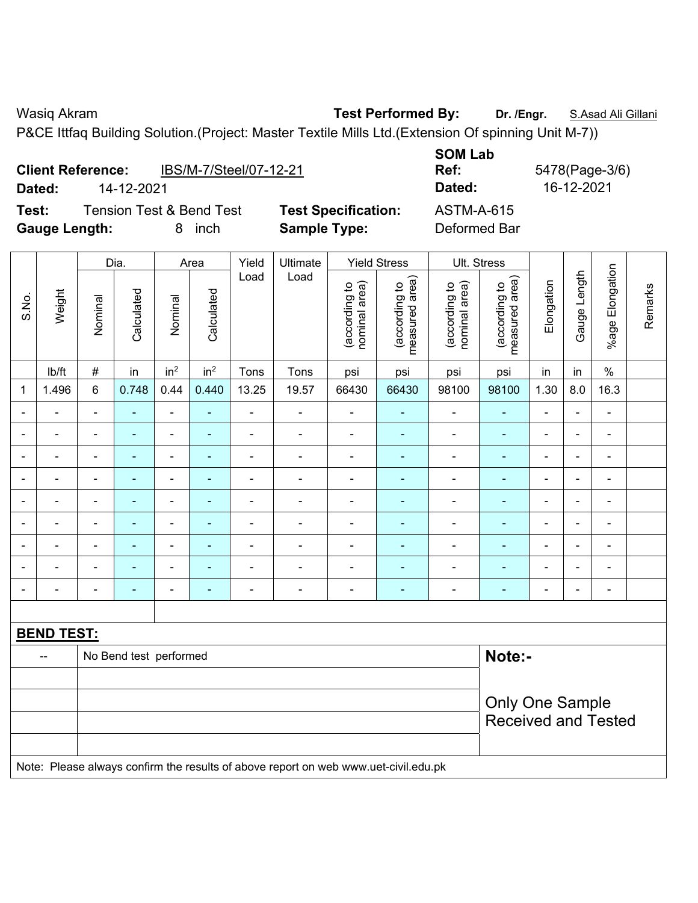Wasiq Akram **Test Performed By:** Dr. /Engr. **S.Asad Ali Gillani** Club Act 2014

 $\overline{\mathbf{r}}$ 

P&CE Ittfaq Building Solution.(Project: Master Textile Mills Ltd.(Extension Of spinning Unit M-7))

|       | Dated:               | <b>Client Reference:</b><br>14-12-2021 | IBS/M-7/Steel/07-12-21                           |       |                     |                            |
|-------|----------------------|----------------------------------------|--------------------------------------------------|-------|---------------------|----------------------------|
| Test: | <b>Gauge Length:</b> |                                        | <b>Tension Test &amp; Bend Test</b><br>inch<br>8 |       | <b>Sample Type:</b> | <b>Test Specification:</b> |
|       |                      |                                        | Area                                             | Yield | l I Iltimate        | Yield Stress               |

|                |                   |                | Dia.                   |                 | Area            | Yield          | Ultimate                                                                            |                                | <b>Yield Stress</b>             |                                | Ult. Stress                     |                |                |                           |         |
|----------------|-------------------|----------------|------------------------|-----------------|-----------------|----------------|-------------------------------------------------------------------------------------|--------------------------------|---------------------------------|--------------------------------|---------------------------------|----------------|----------------|---------------------------|---------|
| S.No.          | Weight            | Nominal        | Calculated             | Nominal         | Calculated      | Load           | Load                                                                                | nominal area)<br>(according to | (according to<br>measured area) | (according to<br>nominal area) | (according to<br>measured area) | Elongation     | Gauge Length   | Elongation<br>$%$ age $ $ | Remarks |
|                | lb/ft             | $\#$           | in                     | in <sup>2</sup> | in <sup>2</sup> | Tons           | Tons                                                                                | psi                            | psi                             | psi                            | psi                             | in             | in             | $\%$                      |         |
| 1              | 1.496             | 6              | 0.748                  | 0.44            | 0.440           | 13.25          | 19.57                                                                               | 66430                          | 66430                           | 98100                          | 98100                           | 1.30           | 8.0            | 16.3                      |         |
|                |                   | $\blacksquare$ | ÷,                     | $\blacksquare$  | $\blacksquare$  | ä,             | ÷,                                                                                  | $\blacksquare$                 | $\blacksquare$                  | $\blacksquare$                 | $\blacksquare$                  | $\blacksquare$ | $\blacksquare$ | $\frac{1}{2}$             |         |
|                | $\blacksquare$    | $\blacksquare$ | ÷,                     | $\blacksquare$  | $\blacksquare$  | $\blacksquare$ | ÷,                                                                                  | $\blacksquare$                 | $\blacksquare$                  | $\blacksquare$                 | $\blacksquare$                  | ä,             | $\blacksquare$ | $\blacksquare$            |         |
|                |                   | $\blacksquare$ | $\blacksquare$         | $\blacksquare$  | ٠               |                | $\blacksquare$                                                                      | $\blacksquare$                 | ٠                               | $\overline{\phantom{0}}$       |                                 | $\blacksquare$ |                | $\blacksquare$            |         |
|                |                   | $\blacksquare$ |                        | ä,              |                 | $\blacksquare$ | $\blacksquare$                                                                      | $\blacksquare$                 |                                 | $\blacksquare$                 |                                 | $\blacksquare$ |                | $\blacksquare$            |         |
|                |                   | $\blacksquare$ | $\blacksquare$         | $\blacksquare$  | ٠               | $\blacksquare$ | $\blacksquare$                                                                      | ä,                             | ÷                               | $\blacksquare$                 |                                 | $\blacksquare$ | $\blacksquare$ | $\blacksquare$            |         |
| $\blacksquare$ |                   | $\blacksquare$ | $\blacksquare$         | $\blacksquare$  | $\blacksquare$  | ä,             | ÷,                                                                                  | $\blacksquare$                 | ٠                               | $\blacksquare$                 | ÷,                              | $\blacksquare$ | $\blacksquare$ | $\overline{\phantom{a}}$  |         |
|                |                   | $\blacksquare$ | $\blacksquare$         | $\blacksquare$  |                 | ä,             | $\blacksquare$                                                                      | ÷                              | ÷                               | $\blacksquare$                 | ÷,                              | Ē,             |                | ÷,                        |         |
|                |                   |                |                        | ۰               |                 |                | $\overline{\phantom{0}}$                                                            |                                |                                 |                                |                                 |                |                | $\blacksquare$            |         |
| $\blacksquare$ |                   | $\blacksquare$ | $\blacksquare$         | $\blacksquare$  | ٠               | ä,             | $\blacksquare$                                                                      | $\blacksquare$                 | $\overline{a}$                  | $\overline{\phantom{0}}$       | $\blacksquare$                  | $\blacksquare$ |                | ۰                         |         |
|                |                   |                |                        |                 |                 |                |                                                                                     |                                |                                 |                                |                                 |                |                |                           |         |
|                | <b>BEND TEST:</b> |                |                        |                 |                 |                |                                                                                     |                                |                                 |                                |                                 |                |                |                           |         |
|                |                   |                | No Bend test performed |                 |                 |                |                                                                                     |                                |                                 |                                | Note:-                          |                |                |                           |         |
|                |                   |                |                        |                 |                 |                |                                                                                     |                                |                                 |                                |                                 |                |                |                           |         |
|                |                   |                |                        |                 |                 |                |                                                                                     |                                |                                 |                                | <b>Only One Sample</b>          |                |                |                           |         |
|                |                   |                |                        |                 |                 |                |                                                                                     |                                |                                 |                                | <b>Received and Tested</b>      |                |                |                           |         |
|                |                   |                |                        |                 |                 |                |                                                                                     |                                |                                 |                                |                                 |                |                |                           |         |
|                |                   |                |                        |                 |                 |                | Note: Please always confirm the results of above report on web www.uet-civil.edu.pk |                                |                                 |                                |                                 |                |                |                           |         |

**SOM Lab Ref:** 5478(Page-3/6) **Dated:** 14-12-2021 **Dated:** 16-12-2021 **Test:** Tension Test & Bend Test **Test Specification:** ASTM-A-615 **Deformed Bar** 

 $\top$ 

 $\top$ 

 $\top$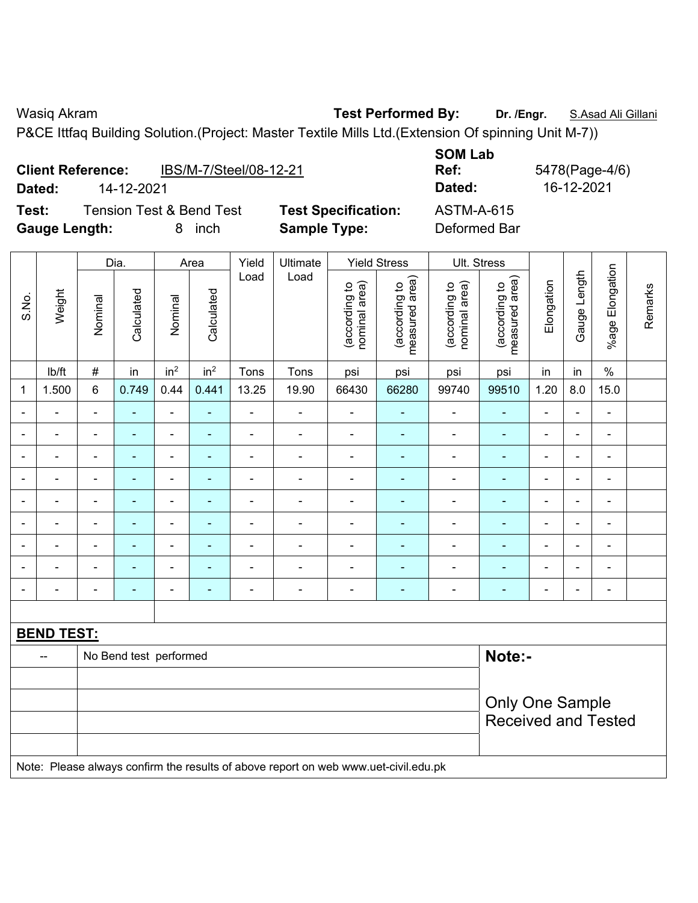Wasiq Akram **Test Performed By:** Dr. /Engr. **S.Asad Ali Gillani** Cillani

**SOM Lab** 

P&CE Ittfaq Building Solution.(Project: Master Textile Mills Ltd.(Extension Of spinning Unit M-7))

|                      | <b>Client Reference:</b> | IBS/M-7/Steel/08-12-21              |                            | <b>SOM LAD</b><br>Ref: |
|----------------------|--------------------------|-------------------------------------|----------------------------|------------------------|
| Dated:               | 14-12-2021               |                                     |                            | Dated:                 |
| Test:                |                          | <b>Tension Test &amp; Bend Test</b> | <b>Test Specification:</b> | <b>ASTM-A-615</b>      |
| <b>Gauge Length:</b> |                          | inch<br>8                           | <b>Sample Type:</b>        | Deformed Bar           |

**Dated:** 14-12-2021 **Dated:** 16-12-2021 **Tecification:** ASTM-A-615

**Ref:** 5478(Page-4/6)

|                |                   |                | Dia.                   |                          | Area            | Yield                    | Ultimate                                                                            |                                | <b>Yield Stress</b>             |                                | Ult. Stress                     |                |                |                          |         |
|----------------|-------------------|----------------|------------------------|--------------------------|-----------------|--------------------------|-------------------------------------------------------------------------------------|--------------------------------|---------------------------------|--------------------------------|---------------------------------|----------------|----------------|--------------------------|---------|
| S.No.          | Weight            | Nominal        | Calculated             | Nominal                  | Calculated      | Load                     | Load                                                                                | nominal area)<br>(according to | measured area)<br>(according to | (according to<br>nominal area) | measured area)<br>(according to | Elongation     | Gauge Length   | %age Elongation          | Remarks |
|                | lb/ft             | $\#$           | in                     | in <sup>2</sup>          | in <sup>2</sup> | Tons                     | Tons                                                                                | psi                            | psi                             | psi                            | psi                             | in             | in             | $\frac{0}{0}$            |         |
| $\mathbf 1$    | 1.500             | $\,6\,$        | 0.749                  | 0.44                     | 0.441           | 13.25                    | 19.90                                                                               | 66430                          | 66280                           | 99740                          | 99510                           | 1.20           | 8.0            | 15.0                     |         |
|                | $\blacksquare$    | $\blacksquare$ | ÷,                     | $\blacksquare$           | $\blacksquare$  | $\blacksquare$           | ä,                                                                                  | $\blacksquare$                 | $\blacksquare$                  | $\blacksquare$                 | $\blacksquare$                  | $\blacksquare$ | ä,             | $\blacksquare$           |         |
|                | $\blacksquare$    |                | ä,                     | $\blacksquare$           | ۰               | ä,                       | ä,                                                                                  | $\blacksquare$                 | $\blacksquare$                  | $\blacksquare$                 | $\blacksquare$                  | $\blacksquare$ | $\blacksquare$ | $\blacksquare$           |         |
|                |                   |                |                        | ۰                        | -               | $\overline{a}$           | $\overline{\phantom{0}}$                                                            |                                |                                 | -                              | $\blacksquare$                  | $\blacksquare$ | ٠              | $\overline{\phantom{0}}$ |         |
|                | $\blacksquare$    |                |                        | ä,                       |                 | L,                       | $\blacksquare$                                                                      | L,                             |                                 | $\blacksquare$                 | L,                              | ä,             | Ē,             | ä,                       |         |
|                | $\overline{a}$    | $\equiv$       | ۰                      | ۰                        | ۰               | -                        | $\blacksquare$                                                                      | $\blacksquare$                 | $\blacksquare$                  | -                              | -                               |                | $\blacksquare$ | $\overline{\phantom{a}}$ |         |
|                | ä,                | $\blacksquare$ | Ē,                     | ÷,                       | ٠               | $\blacksquare$           | $\blacksquare$                                                                      | $\blacksquare$                 | $\blacksquare$                  | $\qquad \qquad \blacksquare$   | ä,                              | $\blacksquare$ | $\blacksquare$ | $\blacksquare$           |         |
| $\blacksquare$ | $\blacksquare$    | $\blacksquare$ | $\blacksquare$         | ÷,                       | $\blacksquare$  | $\overline{\phantom{a}}$ | ÷,                                                                                  | $\blacksquare$                 | $\blacksquare$                  | $\overline{\phantom{a}}$       | $\blacksquare$                  | $\blacksquare$ | ÷,             | $\overline{\phantom{a}}$ |         |
|                | $\blacksquare$    | $\blacksquare$ | $\blacksquare$         | $\overline{\phantom{0}}$ | ۰               | $\overline{\phantom{a}}$ | $\blacksquare$                                                                      | ÷                              | $\overline{\phantom{a}}$        | $\qquad \qquad \blacksquare$   | ÷                               | $\blacksquare$ | $\blacksquare$ | $\blacksquare$           |         |
|                | ä,                | $\blacksquare$ | ä,                     | ÷,                       | ۰               | ä,                       | ÷,                                                                                  | $\blacksquare$                 | ÷                               | ÷,                             | $\blacksquare$                  | ä,             | $\blacksquare$ | $\blacksquare$           |         |
|                |                   |                |                        |                          |                 |                          |                                                                                     |                                |                                 |                                |                                 |                |                |                          |         |
|                | <b>BEND TEST:</b> |                |                        |                          |                 |                          |                                                                                     |                                |                                 |                                |                                 |                |                |                          |         |
|                | --                |                | No Bend test performed |                          |                 |                          |                                                                                     |                                |                                 |                                | Note:-                          |                |                |                          |         |
|                |                   |                |                        |                          |                 |                          |                                                                                     |                                |                                 |                                |                                 |                |                |                          |         |
|                |                   |                |                        |                          |                 |                          |                                                                                     |                                |                                 |                                | <b>Only One Sample</b>          |                |                |                          |         |
|                |                   |                |                        |                          |                 |                          |                                                                                     |                                |                                 |                                | <b>Received and Tested</b>      |                |                |                          |         |
|                |                   |                |                        |                          |                 |                          |                                                                                     |                                |                                 |                                |                                 |                |                |                          |         |
|                |                   |                |                        |                          |                 |                          | Note: Please always confirm the results of above report on web www.uet-civil.edu.pk |                                |                                 |                                |                                 |                |                |                          |         |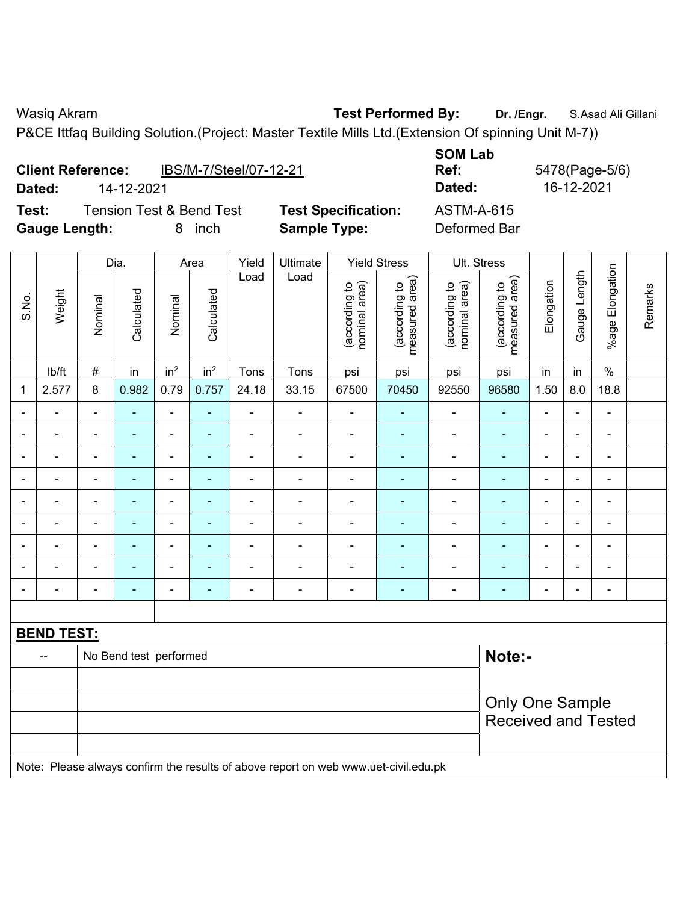Wasiq Akram **Test Performed By:** Dr. /Engr. **S.Asad Ali Gillani** Club Act 2014

**Deformed Bar** 

P&CE Ittfaq Building Solution.(Project: Master Textile Mills Ltd.(Extension Of spinning Unit M-7))

| <b>Client Reference:</b> |            | IBS/M-7/Steel/07-12-21              |                            |
|--------------------------|------------|-------------------------------------|----------------------------|
| Dated:                   | 14-12-2021 |                                     |                            |
| Test:                    |            | <b>Tension Test &amp; Bend Test</b> | <b>Test Specification:</b> |
| <b>Gauge Length:</b>     |            | inch                                | <b>Sample Type:</b>        |
|                          |            |                                     |                            |

**SOM Lab Ref:** 5478(Page-5/6) **Dated:** 14-12-2021 **Dated:** 16-12-2021 **Test:** Tension Test & Bend Test **Test Specification:** ASTM-A-615

|                          |                          |                        | Dia.                   |                              | Area            | Yield                    | Ultimate                                                                            |                                | <b>Yield Stress</b>             | Ult. Stress                    |                                 |                          |                |                          |         |
|--------------------------|--------------------------|------------------------|------------------------|------------------------------|-----------------|--------------------------|-------------------------------------------------------------------------------------|--------------------------------|---------------------------------|--------------------------------|---------------------------------|--------------------------|----------------|--------------------------|---------|
| S.No.                    | Weight                   | Nominal                | Calculated             | Nominal                      | Calculated      | Load                     | Load                                                                                | nominal area)<br>(according to | measured area)<br>(according to | nominal area)<br>(according to | measured area)<br>(according to | Elongation               | Gauge Length   | %age Elongation          | Remarks |
|                          | lb/ft                    | $\#$                   | in                     | in <sup>2</sup>              | in <sup>2</sup> | Tons                     | Tons                                                                                | psi                            | psi                             | psi                            | psi                             | in                       | in             | $\%$                     |         |
| 1                        | 2.577                    | 8                      | 0.982                  | 0.79                         | 0.757           | 24.18                    | 33.15                                                                               | 67500                          | 70450                           | 92550                          | 96580                           | 1.50                     | 8.0            | 18.8                     |         |
|                          | $\blacksquare$           | ä,                     | ä,                     | $\blacksquare$               |                 | ä,                       | ä,                                                                                  | ä,                             | $\blacksquare$                  | $\blacksquare$                 | $\blacksquare$                  | ä,                       | $\blacksquare$ | $\blacksquare$           |         |
| $\overline{\phantom{a}}$ | $\blacksquare$           | $\blacksquare$         | $\blacksquare$         | $\blacksquare$               | $\blacksquare$  | $\blacksquare$           | ÷,                                                                                  | $\blacksquare$                 | ÷                               | ÷,                             | $\blacksquare$                  | $\overline{\phantom{a}}$ | $\blacksquare$ | $\blacksquare$           |         |
| $\blacksquare$           | $\blacksquare$           | $\blacksquare$         | $\blacksquare$         | $\qquad \qquad \blacksquare$ |                 | $\blacksquare$           | Ě.                                                                                  | $\blacksquare$                 | ٠                               | $\blacksquare$                 | $\overline{\phantom{a}}$        | $\blacksquare$           | $\blacksquare$ | $\overline{\phantom{a}}$ |         |
| $\blacksquare$           | $\blacksquare$           | $\blacksquare$         | $\blacksquare$         | $\blacksquare$               | $\blacksquare$  | $\blacksquare$           | $\blacksquare$                                                                      | $\blacksquare$                 | $\blacksquare$                  | ÷,                             | $\blacksquare$                  | $\overline{\phantom{a}}$ | $\blacksquare$ | $\blacksquare$           |         |
| $\blacksquare$           | $\blacksquare$           | $\blacksquare$         | $\blacksquare$         | $\blacksquare$               | $\blacksquare$  | $\blacksquare$           | ä,                                                                                  | $\blacksquare$                 | $\blacksquare$                  | $\blacksquare$                 | $\overline{\phantom{a}}$        | ä,                       | $\blacksquare$ | $\blacksquare$           |         |
| $\overline{\phantom{0}}$ | $\blacksquare$           | $\blacksquare$         | $\blacksquare$         | ۰                            | $\blacksquare$  | $\overline{\phantom{a}}$ | $\blacksquare$                                                                      | $\blacksquare$                 | ٠                               | ÷,                             | $\blacksquare$                  | $\overline{\phantom{a}}$ | $\blacksquare$ | $\blacksquare$           |         |
|                          | $\blacksquare$           | $\blacksquare$         | $\blacksquare$         | ۰                            |                 | Ē,                       | ä,                                                                                  | $\blacksquare$                 | ä,                              | ä,                             |                                 | $\blacksquare$           | L.             | $\blacksquare$           |         |
|                          |                          | $\blacksquare$         | $\overline{a}$         |                              |                 | $\blacksquare$           | L.                                                                                  |                                | $\blacksquare$                  | $\blacksquare$                 |                                 | $\blacksquare$           |                |                          |         |
|                          | $\overline{\phantom{0}}$ | $\blacksquare$         | $\blacksquare$         | $\blacksquare$               |                 |                          | Ē,                                                                                  | $\blacksquare$                 | $\blacksquare$                  | $\blacksquare$                 | $\blacksquare$                  | $\blacksquare$           | $\blacksquare$ | $\blacksquare$           |         |
|                          |                          |                        |                        |                              |                 |                          |                                                                                     |                                |                                 |                                |                                 |                          |                |                          |         |
|                          | <b>BEND TEST:</b>        |                        |                        |                              |                 |                          |                                                                                     |                                |                                 |                                |                                 |                          |                |                          |         |
|                          | --                       |                        | No Bend test performed |                              |                 |                          |                                                                                     |                                |                                 |                                | Note:-                          |                          |                |                          |         |
|                          |                          |                        |                        |                              |                 |                          |                                                                                     |                                |                                 |                                |                                 |                          |                |                          |         |
|                          |                          | <b>Only One Sample</b> |                        |                              |                 |                          |                                                                                     |                                |                                 |                                |                                 |                          |                |                          |         |
|                          |                          |                        |                        |                              |                 |                          |                                                                                     |                                |                                 |                                | <b>Received and Tested</b>      |                          |                |                          |         |
|                          |                          |                        |                        |                              |                 |                          |                                                                                     |                                |                                 |                                |                                 |                          |                |                          |         |
|                          |                          |                        |                        |                              |                 |                          | Note: Please always confirm the results of above report on web www.uet-civil.edu.pk |                                |                                 |                                |                                 |                          |                |                          |         |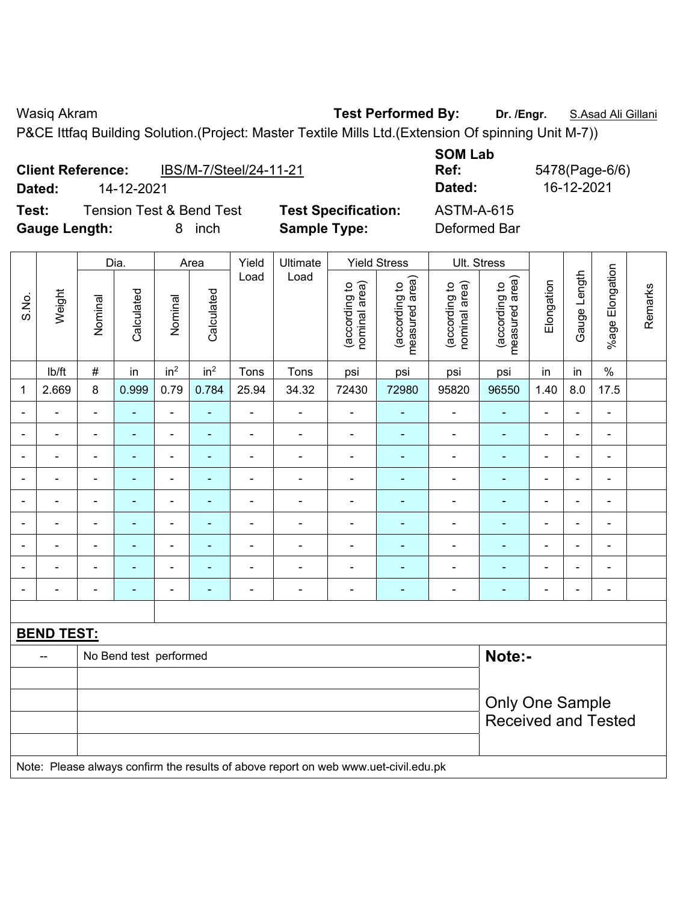**Client Reference:** IBS/M-7/Steel/24-11-21

Wasiq Akram **Test Performed By:** Dr. /Engr. **S.Asad Ali Gillani** Cillani

P&CE Ittfaq Building Solution.(Project: Master Textile Mills Ltd.(Extension Of spinning Unit M-7))

| 1691.<br><b>I GIISIUII TESL &amp; DEIIU TESL</b><br>8<br>inch<br><b>Gauge Length:</b> |                |                        |                 |                 |                |                          | rest opecnication.<br><b>Sample Type:</b> |                                 |                                | <b>ASTM-A-019</b><br>Deformed Bar |                |                          |                              |         |
|---------------------------------------------------------------------------------------|----------------|------------------------|-----------------|-----------------|----------------|--------------------------|-------------------------------------------|---------------------------------|--------------------------------|-----------------------------------|----------------|--------------------------|------------------------------|---------|
|                                                                                       |                | Dia.                   |                 | Area            | Yield          | Ultimate                 |                                           | <b>Yield Stress</b>             | Ult. Stress                    |                                   |                |                          |                              |         |
| Weight<br>S.No.                                                                       | Nominal        | Calculated             | Nominal         | Calculated      | Load           | Load                     | (according to<br>nominal area)            | (according to<br>measured area) | (according to<br>nominal area) | (according to<br>measured area)   | Elongation     | Gauge Length             | %age Elongation              | Remarks |
| Ib/ft                                                                                 | $\#$           | in                     | in <sup>2</sup> | in <sup>2</sup> | Tons           | Tons                     | psi                                       | psi                             | psi                            | psi                               | in             | in                       | $\frac{1}{2}$                |         |
| 2.669<br>1                                                                            | 8              | 0.999                  | 0.79            | 0.784           | 25.94          | 34.32                    | 72430                                     | 72980                           | 95820                          | 96550                             | 1.40           | 8.0                      | 17.5                         |         |
|                                                                                       | $\blacksquare$ | $\blacksquare$         | $\blacksquare$  | ÷,              |                | $\overline{\phantom{a}}$ | $\blacksquare$                            | $\blacksquare$                  | $\blacksquare$                 | $\blacksquare$                    | $\blacksquare$ | $\overline{\phantom{a}}$ | $\blacksquare$               |         |
|                                                                                       | L,             | ä,                     | $\blacksquare$  | ÷               | $\blacksquare$ | $\blacksquare$           | $\overline{\phantom{a}}$                  | $\blacksquare$                  | $\overline{\phantom{a}}$       | $\blacksquare$                    | ä,             | $\blacksquare$           | ÷,                           |         |
| $\overline{\phantom{a}}$                                                              | $\blacksquare$ | ÷,                     | $\blacksquare$  | ٠               | $\blacksquare$ | $\blacksquare$           | $\overline{\phantom{a}}$                  | $\blacksquare$                  | $\blacksquare$                 | $\blacksquare$                    | ä,             | $\blacksquare$           | $\qquad \qquad \blacksquare$ |         |
|                                                                                       | L,             | $\blacksquare$         | ÷,              | ä,              | ä,             | $\blacksquare$           | $\blacksquare$                            | $\blacksquare$                  | $\blacksquare$                 | $\blacksquare$                    | ä,             | ä,                       | $\blacksquare$               |         |
|                                                                                       | L,             |                        | ä,              | L,              |                |                          | $\blacksquare$                            | ä,                              | $\blacksquare$                 | ä,                                | Ē,             | ÷                        | ä,                           |         |
|                                                                                       | ä,             |                        | -               |                 | $\blacksquare$ | $\blacksquare$           | $\overline{a}$                            | ٠                               | $\blacksquare$                 | $\blacksquare$                    |                | ÷                        | ÷                            |         |
|                                                                                       |                |                        | $\blacksquare$  |                 |                |                          |                                           |                                 |                                |                                   |                |                          |                              |         |
|                                                                                       |                |                        | ä,              |                 |                |                          | $\blacksquare$                            | ÷                               | $\blacksquare$                 | $\blacksquare$                    |                |                          | ä,                           |         |
|                                                                                       | L,             |                        | ÷,              | ÷,              | ä,             | $\blacksquare$           | $\blacksquare$                            | ä,                              | ä,                             | $\blacksquare$                    |                | ä,                       | $\blacksquare$               |         |
|                                                                                       |                |                        |                 |                 |                |                          |                                           |                                 |                                |                                   |                |                          |                              |         |
| <b>BEND TEST:</b>                                                                     |                |                        |                 |                 |                |                          |                                           |                                 |                                |                                   |                |                          |                              |         |
| --                                                                                    |                | No Bend test performed |                 |                 |                |                          |                                           |                                 |                                | Note:-                            |                |                          |                              |         |
|                                                                                       |                |                        |                 |                 |                |                          |                                           |                                 |                                |                                   |                |                          |                              |         |
|                                                                                       |                |                        |                 |                 |                |                          |                                           |                                 | <b>Only One Sample</b>         |                                   |                |                          |                              |         |
|                                                                                       |                |                        |                 |                 |                |                          |                                           |                                 |                                | <b>Received and Tested</b>        |                |                          |                              |         |
| Note: Please always confirm the results of above report on web www.uet-civil.edu.pk   |                |                        |                 |                 |                |                          |                                           |                                 |                                |                                   |                |                          |                              |         |

**SOM Lab Ref:** 5478(Page-6/6) **Dated:** 14-12-2021 **Dated:** 16-12-2021

**Test:** Tension Test & Bend Test **Test Specification:** ASTM-A-615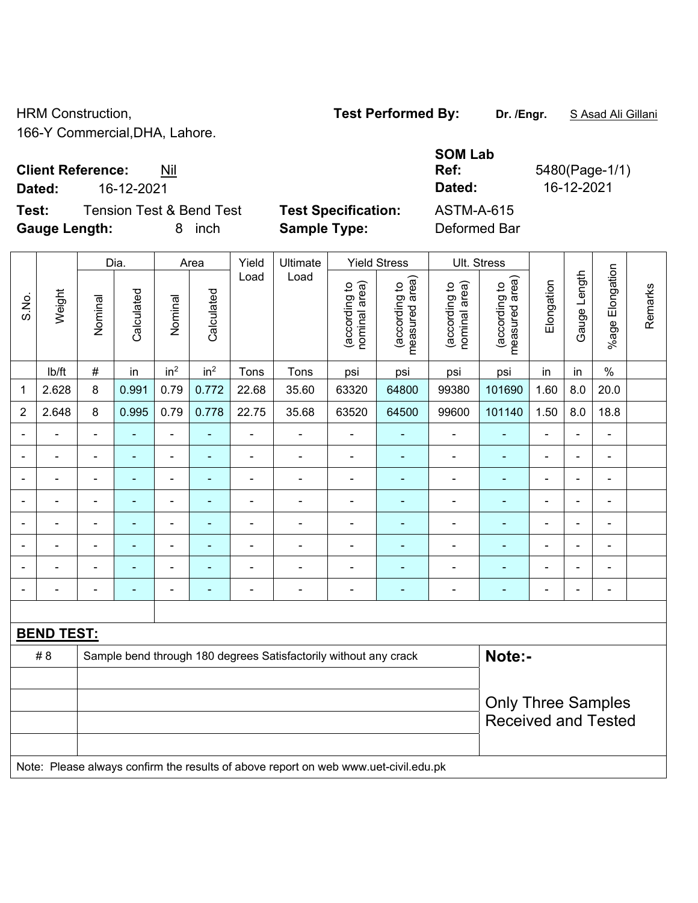Τ

166-Y Commercial,DHA, Lahore.

## **Client Reference:** Nil

**Dated:** 16-12-2021 **Dated:** 16-12-2021

**Test:** Tension Test & Bend Test Test Specification: Gauge Length: **8** inch **Sample Type:** 

| ASTM-A-615   |  |
|--------------|--|
| Deformed Bar |  |

**SOM Lab** 

|                |                   |                          | Dia.                     |                          | Area            | Yield                    | Ultimate                                                                            |                                | <b>Yield Stress</b>             |                                | Ult. Stress                     |                          |                |                                                                                                                                                     | Remarks |  |
|----------------|-------------------|--------------------------|--------------------------|--------------------------|-----------------|--------------------------|-------------------------------------------------------------------------------------|--------------------------------|---------------------------------|--------------------------------|---------------------------------|--------------------------|----------------|-----------------------------------------------------------------------------------------------------------------------------------------------------|---------|--|
| S.No.          | Weight            | Nominal                  | Calculated               | Nominal                  | Calculated      | Load                     | Load                                                                                | (according to<br>nominal area) | (according to<br>measured area) | (according to<br>nominal area) | (according to<br>measured area) | Elongation               | Gauge Length   | %age Elongation<br>$\%$<br>20.0<br>18.8<br>÷,<br>$\blacksquare$<br>$\blacksquare$<br>$\overline{a}$<br>Ē,<br>$\blacksquare$<br>$\blacksquare$<br>÷, |         |  |
|                | lb/ft             | $\#$                     | in                       | in <sup>2</sup>          | in <sup>2</sup> | Tons                     | Tons                                                                                | psi                            | psi                             | psi                            | psi                             | in                       | in             |                                                                                                                                                     |         |  |
| 1              | 2.628             | 8                        | 0.991                    | 0.79                     | 0.772           | 22.68                    | 35.60                                                                               | 63320                          | 64800                           | 99380                          | 101690                          | 1.60                     | 8.0            |                                                                                                                                                     |         |  |
| $\overline{2}$ | 2.648             | 8                        | 0.995                    | 0.79                     | 0.778           | 22.75                    | 35.68                                                                               | 63520                          | 64500                           | 99600                          | 101140                          | 1.50                     | 8.0            |                                                                                                                                                     |         |  |
|                | $\blacksquare$    | $\blacksquare$           | ÷                        | ÷,                       | $\blacksquare$  | $\blacksquare$           | ÷.                                                                                  | ä,                             | $\blacksquare$                  | ÷,                             | $\blacksquare$                  | $\blacksquare$           | $\blacksquare$ |                                                                                                                                                     |         |  |
|                | $\overline{a}$    | $\blacksquare$           | $\blacksquare$           | ÷,                       | $\blacksquare$  | Ē,                       | $\blacksquare$                                                                      | $\blacksquare$                 | ä,                              | ä,                             | $\blacksquare$                  | ä,                       | $\blacksquare$ |                                                                                                                                                     |         |  |
|                | $\blacksquare$    | $\overline{\phantom{a}}$ | $\blacksquare$           | $\overline{\phantom{0}}$ | $\blacksquare$  | $\overline{\phantom{a}}$ | $\overline{\phantom{a}}$                                                            | $\overline{\phantom{a}}$       | $\blacksquare$                  | ÷                              | $\blacksquare$                  | ÷                        | $\blacksquare$ |                                                                                                                                                     |         |  |
|                | $\blacksquare$    | $\blacksquare$           | $\blacksquare$           | $\overline{a}$           | $\blacksquare$  | $\blacksquare$           | ÷,                                                                                  | ÷,                             | ÷                               | ÷,                             | ÷                               | $\overline{\phantom{a}}$ | $\blacksquare$ |                                                                                                                                                     |         |  |
|                |                   |                          | $\blacksquare$           | $\blacksquare$           | $\blacksquare$  | $\blacksquare$           | ÷                                                                                   | $\blacksquare$                 | L,                              | ÷,                             | $\blacksquare$                  | ÷                        |                |                                                                                                                                                     |         |  |
|                |                   |                          | ÷                        | $\blacksquare$           | $\blacksquare$  | $\overline{a}$           | ÷.                                                                                  | $\blacksquare$                 | ä,                              | $\blacksquare$                 |                                 | ä,                       | $\blacksquare$ |                                                                                                                                                     |         |  |
|                |                   | $\blacksquare$           | $\blacksquare$           | $\blacksquare$           | $\blacksquare$  |                          | $\blacksquare$                                                                      | $\blacksquare$                 | $\blacksquare$                  | $\blacksquare$                 | $\blacksquare$                  | ÷                        | $\blacksquare$ |                                                                                                                                                     |         |  |
|                |                   | $\blacksquare$           | $\overline{\phantom{0}}$ | $\blacksquare$           | $\blacksquare$  | $\blacksquare$           | $\overline{\phantom{0}}$                                                            | $\blacksquare$                 | ٠                               | $\blacksquare$                 | $\blacksquare$                  | $\blacksquare$           | $\blacksquare$ |                                                                                                                                                     |         |  |
|                |                   |                          |                          |                          |                 |                          |                                                                                     |                                |                                 |                                |                                 |                          |                |                                                                                                                                                     |         |  |
|                | <b>BEND TEST:</b> |                          |                          |                          |                 |                          |                                                                                     |                                |                                 |                                |                                 |                          |                |                                                                                                                                                     |         |  |
|                | # 8               |                          |                          |                          |                 |                          | Sample bend through 180 degrees Satisfactorily without any crack                    |                                |                                 |                                | Note:-                          |                          |                |                                                                                                                                                     |         |  |
|                |                   |                          |                          |                          |                 |                          |                                                                                     |                                |                                 |                                |                                 |                          |                |                                                                                                                                                     |         |  |
|                |                   |                          |                          |                          |                 |                          |                                                                                     |                                |                                 |                                | <b>Only Three Samples</b>       |                          |                |                                                                                                                                                     |         |  |
|                |                   |                          |                          |                          |                 |                          |                                                                                     |                                |                                 |                                | <b>Received and Tested</b>      |                          |                |                                                                                                                                                     |         |  |
|                |                   |                          |                          |                          |                 |                          |                                                                                     |                                |                                 |                                |                                 |                          |                |                                                                                                                                                     |         |  |
|                |                   |                          |                          |                          |                 |                          | Note: Please always confirm the results of above report on web www.uet-civil.edu.pk |                                |                                 |                                |                                 |                          |                |                                                                                                                                                     |         |  |

## HRM Construction, **Test Performed By:** Dr. /Engr. **SAsad Ali Gillani** Construction,

**Ref:** 5480(Page-1/1)